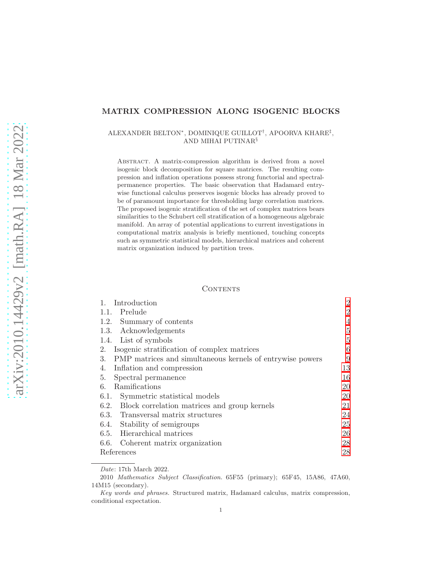## MATRIX COMPRESSION ALONG ISOGENIC BLOCKS

#### ALEXANDER BELTON<sup>∗</sup> , DOMINIQUE GUILLOT† , APOORVA KHARE‡ , AND MIHAI PUTINAR§

Abstract. A matrix-compression algorithm is derived from a novel isogenic block decomposition for square matrices. The resulting compression and inflation operations possess strong functorial and spectralpermanence properties. The basic observation that Hadamard entrywise functional calculus preserves isogenic blocks has already proved to be of paramount importance for thresholding large correlation matrices. The proposed isogenic stratification of the set of complex matrices bears similarities to the Schubert cell stratification of a homogeneous algebraic manifold. An array of potential applications to current investigations in computational matrix analysis is briefly mentioned, touching concepts such as symmetric statistical models, hierarchical matrices and coherent matrix organization induced by partition trees.

#### **CONTENTS**

| Introduction                                                    | $\overline{2}$ |
|-----------------------------------------------------------------|----------------|
| Prelude<br>1.1.                                                 | $\overline{2}$ |
| 1.2. Summary of contents                                        | 4              |
| 1.3.<br>Acknowledgements                                        | 5              |
| List of symbols<br>1.4.                                         | 5              |
| Isogenic stratification of complex matrices<br>2.               | 6              |
| 3.<br>PMP matrices and simultaneous kernels of entrywise powers | 9              |
| 4.<br>Inflation and compression                                 | 13             |
| Spectral permanence<br>5.                                       | 16             |
| Ramifications<br>6.                                             | 20             |
| 6.1.<br>Symmetric statistical models                            | 20             |
| 6.2.<br>Block correlation matrices and group kernels            | 21             |
| 6.3. Transversal matrix structures                              | 24             |
| Stability of semigroups<br>6.4.                                 | 25             |
| Hierarchical matrices<br>6.5.                                   | 26             |
| 6.6.<br>Coherent matrix organization                            | 28             |
| References                                                      | 28             |

Date: 17th March 2022.

<sup>2010</sup> Mathematics Subject Classification. 65F55 (primary); 65F45, 15A86, 47A60, 14M15 (secondary).

Key words and phrases. Structured matrix, Hadamard calculus, matrix compression, conditional expectation.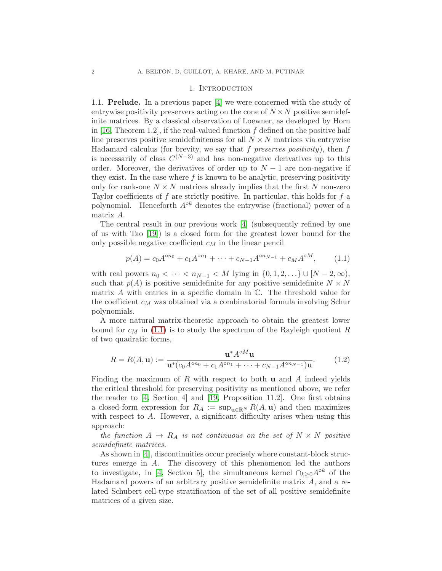### 1. INTRODUCTION

<span id="page-1-1"></span><span id="page-1-0"></span>1.1. Prelude. In a previous paper [\[4\]](#page-27-2) we were concerned with the study of entrywise positivity preservers acting on the cone of  $N \times N$  positive semidefinite matrices. By a classical observation of Loewner, as developed by Horn in [\[16,](#page-28-0) Theorem 1.2], if the real-valued function  $f$  defined on the positive half line preserves positive semidefiniteness for all  $N \times N$  matrices via entrywise Hadamard calculus (for brevity, we say that  $f$  preserves positivity), then  $f$ is necessarily of class  $C^{(N-3)}$  and has non-negative derivatives up to this order. Moreover, the derivatives of order up to  $N-1$  are non-negative if they exist. In the case where  $f$  is known to be analytic, preserving positivity only for rank-one  $N \times N$  matrices already implies that the first N non-zero Taylor coefficients of  $f$  are strictly positive. In particular, this holds for  $f$  a polynomial. Henceforth  $A^{\circ k}$  denotes the entrywise (fractional) power of a matrix A.

The central result in our previous work [\[4\]](#page-27-2) (subsequently refined by one of us with Tao [\[19\]](#page-28-1)) is a closed form for the greatest lower bound for the only possible negative coefficient  $c_M$  in the linear pencil

<span id="page-1-2"></span>
$$
p(A) = c_0 A^{\circ n_0} + c_1 A^{\circ n_1} + \dots + c_{N-1} A^{\circ n_{N-1}} + c_M A^{\circ M}, \tag{1.1}
$$

with real powers  $n_0 < \cdots < n_{N-1} < M$  lying in  $\{0, 1, 2, \dots\} \cup [N-2, \infty)$ , such that  $p(A)$  is positive semidefinite for any positive semidefinite  $N \times N$ matrix  $A$  with entries in a specific domain in  $\mathbb{C}$ . The threshold value for the coefficient  $c_M$  was obtained via a combinatorial formula involving Schur polynomials.

A more natural matrix-theoretic approach to obtain the greatest lower bound for  $c_M$  in [\(1.1\)](#page-1-2) is to study the spectrum of the Rayleigh quotient R of two quadratic forms,

$$
R = R(A, \mathbf{u}) := \frac{\mathbf{u}^* A^{\circ M} \mathbf{u}}{\mathbf{u}^* (c_0 A^{\circ n_0} + c_1 A^{\circ n_1} + \dots + c_{N-1} A^{\circ n_{N-1}}) \mathbf{u}}.
$$
(1.2)

Finding the maximum of  $R$  with respect to both **u** and  $A$  indeed yields the critical threshold for preserving positivity as mentioned above; we refer the reader to [\[4,](#page-27-2) Section 4] and [\[19,](#page-28-1) Proposition 11.2]. One first obtains a closed-form expression for  $R_A := \sup_{\mathbf{u} \in \mathbb{R}^N} R(A, \mathbf{u})$  and then maximizes with respect to  $A$ . However, a significant difficulty arises when using this approach:

the function  $A \mapsto R_A$  is not continuous on the set of  $N \times N$  positive semidefinite matrices.

As shown in [\[4\]](#page-27-2), discontinuities occur precisely where constant-block structures emerge in A. The discovery of this phenomenon led the authors to investigate, in [\[4,](#page-27-2) Section 5], the simultaneous kernel  $\cap_{k>0} A^{\circ k}$  of the Hadamard powers of an arbitrary positive semidefinite matrix A, and a related Schubert cell-type stratification of the set of all positive semidefinite matrices of a given size.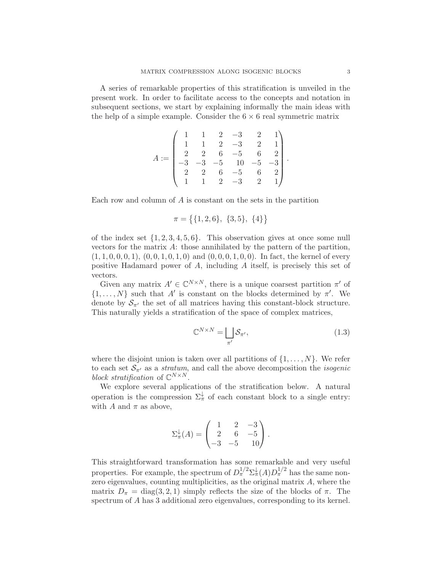A series of remarkable properties of this stratification is unveiled in the present work. In order to facilitate access to the concepts and notation in subsequent sections, we start by explaining informally the main ideas with the help of a simple example. Consider the  $6 \times 6$  real symmetric matrix

$$
A := \begin{pmatrix} 1 & 1 & 2 & -3 & 2 & 1 \\ 1 & 1 & 2 & -3 & 2 & 1 \\ 2 & 2 & 6 & -5 & 6 & 2 \\ -3 & -3 & -5 & 10 & -5 & -3 \\ 2 & 2 & 6 & -5 & 6 & 2 \\ 1 & 1 & 2 & -3 & 2 & 1 \end{pmatrix}.
$$

Each row and column of A is constant on the sets in the partition

$$
\pi = \{ \{1, 2, 6\}, \ \{3, 5\}, \ \{4\} \}
$$

of the index set  $\{1, 2, 3, 4, 5, 6\}$ . This observation gives at once some null vectors for the matrix  $\hat{A}$ : those annihilated by the pattern of the partition,  $(1, 1, 0, 0, 0, 1), (0, 0, 1, 0, 1, 0)$  and  $(0, 0, 0, 1, 0, 0)$ . In fact, the kernel of every positive Hadamard power of A, including A itself, is precisely this set of vectors.

Given any matrix  $A' \in \mathbb{C}^{N \times N}$ , there is a unique coarsest partition  $\pi'$  of  $\{1, \ldots, N\}$  such that A' is constant on the blocks determined by  $\pi'$ . We denote by  $S_{\pi'}$  the set of all matrices having this constant-block structure. This naturally yields a stratification of the space of complex matrices,

<span id="page-2-0"></span>
$$
\mathbb{C}^{N \times N} = \bigsqcup_{\pi'} \mathcal{S}_{\pi'},\tag{1.3}
$$

where the disjoint union is taken over all partitions of  $\{1, \ldots, N\}$ . We refer to each set  $S_{\pi'}$  as a *stratum*, and call the above decomposition the *isogenic* block stratification of  $\mathbb{C}^{N\times N}$ .

We explore several applications of the stratification below. A natural operation is the compression  $\Sigma_{\pi}^{\downarrow}$  of each constant block to a single entry: with A and  $\pi$  as above,

$$
\Sigma_{\pi}^{\downarrow}(A) = \begin{pmatrix} 1 & 2 & -3 \\ 2 & 6 & -5 \\ -3 & -5 & 10 \end{pmatrix}.
$$

This straightforward transformation has some remarkable and very useful properties. For example, the spectrum of  $D_{\pi}^{1/2} \Sigma_{\pi}^{\downarrow}(A) D_{\pi}^{1/2}$  has the same nonzero eigenvalues, counting multiplicities, as the original matrix A, where the matrix  $D_{\pi} = \text{diag}(3, 2, 1)$  simply reflects the size of the blocks of  $\pi$ . The spectrum of A has 3 additional zero eigenvalues, corresponding to its kernel.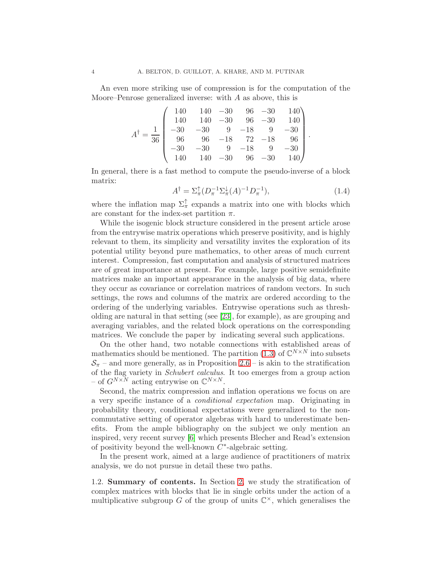An even more striking use of compression is for the computation of the Moore–Penrose generalized inverse: with A as above, this is

$$
A^{\dagger} = \frac{1}{36} \begin{pmatrix} 140 & 140 & -30 & 96 & -30 & 140 \\ 140 & 140 & -30 & 96 & -30 & 140 \\ -30 & -30 & 9 & -18 & 9 & -30 \\ 96 & 96 & -18 & 72 & -18 & 96 \\ -30 & -30 & 9 & -18 & 9 & -30 \\ 140 & 140 & -30 & 96 & -30 & 140 \end{pmatrix}
$$

In general, there is a fast method to compute the pseudo-inverse of a block matrix:

$$
A^{\dagger} = \Sigma_{\pi}^{\uparrow} (D_{\pi}^{-1} \Sigma_{\pi}^{\downarrow} (A)^{-1} D_{\pi}^{-1}), \tag{1.4}
$$

.

where the inflation map  $\Sigma_{\pi}^{\uparrow}$  expands a matrix into one with blocks which are constant for the index-set partition  $\pi$ .

While the isogenic block structure considered in the present article arose from the entrywise matrix operations which preserve positivity, and is highly relevant to them, its simplicity and versatility invites the exploration of its potential utility beyond pure mathematics, to other areas of much current interest. Compression, fast computation and analysis of structured matrices are of great importance at present. For example, large positive semidefinite matrices make an important appearance in the analysis of big data, where they occur as covariance or correlation matrices of random vectors. In such settings, the rows and columns of the matrix are ordered according to the ordering of the underlying variables. Entrywise operations such as thresholding are natural in that setting (see [\[23\]](#page-28-2), for example), as are grouping and averaging variables, and the related block operations on the corresponding matrices. We conclude the paper by indicating several such applications.

On the other hand, two notable connections with established areas of mathematics should be mentioned. The partition [\(1.3\)](#page-2-0) of  $\mathbb{C}^{N\times N}$  into subsets  $S_{\pi}$  – and more generally, as in Proposition [2.6](#page-7-0) – is akin to the stratification of the flag variety in Schubert calculus. It too emerges from a group action – of  $G^{N\times N}$  acting entrywise on  $\mathbb{C}^{N\times N}$ .

Second, the matrix compression and inflation operations we focus on are a very specific instance of a conditional expectation map. Originating in probability theory, conditional expectations were generalized to the noncommutative setting of operator algebras with hard to underestimate benefits. From the ample bibliography on the subject we only mention an inspired, very recent survey [\[6\]](#page-28-3) which presents Blecher and Read's extension of positivity beyond the well-known  $C^*$ -algebraic setting.

In the present work, aimed at a large audience of practitioners of matrix analysis, we do not pursue in detail these two paths.

<span id="page-3-0"></span>1.2. Summary of contents. In Section [2,](#page-5-0) we study the stratification of complex matrices with blocks that lie in single orbits under the action of a multiplicative subgroup G of the group of units  $\mathbb{C}^{\times}$ , which generalises the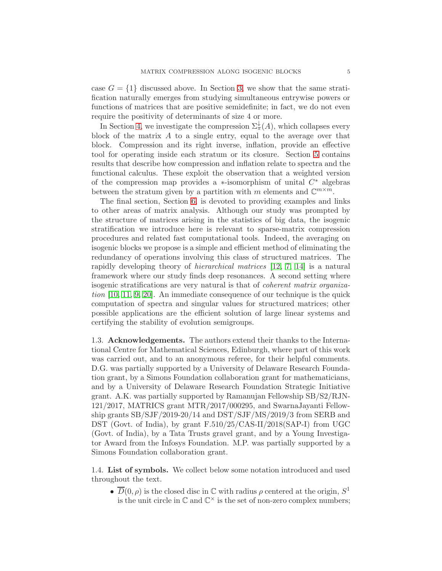case  $G = \{1\}$  discussed above. In Section [3,](#page-8-0) we show that the same stratification naturally emerges from studying simultaneous entrywise powers or functions of matrices that are positive semidefinite; in fact, we do not even require the positivity of determinants of size 4 or more.

In Section [4,](#page-12-0) we investigate the compression  $\Sigma_{\pi}^{\downarrow}(A)$ , which collapses every block of the matrix A to a single entry, equal to the average over that block. Compression and its right inverse, inflation, provide an effective tool for operating inside each stratum or its closure. Section [5](#page-15-0) contains results that describe how compression and inflation relate to spectra and the functional calculus. These exploit the observation that a weighted version of the compression map provides a  $*$ -isomorphism of unital  $C^*$  algebras between the stratum given by a partition with m elements and  $\mathbb{C}^{m \times m}$ .

The final section, Section [6,](#page-19-0) is devoted to providing examples and links to other areas of matrix analysis. Although our study was prompted by the structure of matrices arising in the statistics of big data, the isogenic stratification we introduce here is relevant to sparse-matrix compression procedures and related fast computational tools. Indeed, the averaging on isogenic blocks we propose is a simple and efficient method of eliminating the redundancy of operations involving this class of structured matrices. The rapidly developing theory of hierarchical matrices [\[12,](#page-28-4) [7,](#page-28-5) [14\]](#page-28-6) is a natural framework where our study finds deep resonances. A second setting where isogenic stratifications are very natural is that of coherent matrix organization [\[10,](#page-28-7) [11,](#page-28-8) [9,](#page-28-9) [20\]](#page-28-10). An immediate consequence of our technique is the quick computation of spectra and singular values for structured matrices; other possible applications are the efficient solution of large linear systems and certifying the stability of evolution semigroups.

<span id="page-4-0"></span>1.3. Acknowledgements. The authors extend their thanks to the International Centre for Mathematical Sciences, Edinburgh, where part of this work was carried out, and to an anonymous referee, for their helpful comments. D.G. was partially supported by a University of Delaware Research Foundation grant, by a Simons Foundation collaboration grant for mathematicians, and by a University of Delaware Research Foundation Strategic Initiative grant. A.K. was partially supported by Ramanujan Fellowship SB/S2/RJN-121/2017, MATRICS grant MTR/2017/000295, and SwarnaJayanti Fellowship grants SB/SJF/2019-20/14 and DST/SJF/MS/2019/3 from SERB and DST (Govt. of India), by grant F.510/25/CAS-II/2018(SAP-I) from UGC (Govt. of India), by a Tata Trusts gravel grant, and by a Young Investigator Award from the Infosys Foundation. M.P. was partially supported by a Simons Foundation collaboration grant.

<span id="page-4-1"></span>1.4. List of symbols. We collect below some notation introduced and used throughout the text.

•  $\overline{D}(0, \rho)$  is the closed disc in  $\mathbb C$  with radius  $\rho$  centered at the origin,  $S^1$ is the unit circle in  $\mathbb C$  and  $\mathbb C^\times$  is the set of non-zero complex numbers;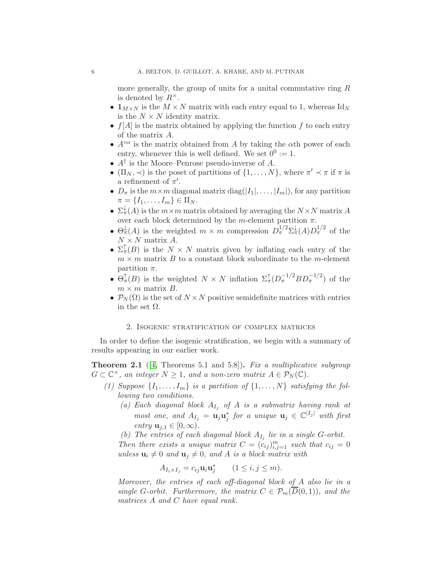more generally, the group of units for a unital commutative ring  $R$ is denoted by  $R^{\times}$ .

- $1_{M \times N}$  is the  $M \times N$  matrix with each entry equal to 1, whereas Id<sub>N</sub> is the  $N \times N$  identity matrix.
- $f[A]$  is the matrix obtained by applying the function f to each entry of the matrix A.
- $A^{\circ\alpha}$  is the matrix obtained from A by taking the  $\alpha$ th power of each entry, whenever this is well defined. We set  $0^0 := 1$ .
- $A^{\dagger}$  is the Moore–Penrose pseudo-inverse of A.
- $(\Pi_N, \prec)$  is the poset of partitions of  $\{1, \ldots, N\}$ , where  $\pi' \prec \pi$  if  $\pi$  is a refinement of  $\pi'$ .
- $D_{\pi}$  is the  $m \times m$  diagonal matrix diag( $|I_1|, \ldots, |I_m|$ ), for any partition  $\pi = \{I_1, \ldots, I_m\} \in \Pi_N.$
- $\Sigma_{\pi}^{\downarrow}(A)$  is the  $m \times m$  matrix obtained by averaging the  $N \times N$  matrix A over each block determined by the m-element partition  $\pi$ .
- $\Theta_{\pi}^{\downarrow}(A)$  is the weighted  $m \times m$  compression  $D_{\pi}^{1/2}\Sigma_{\pi}^{\downarrow}(A)D_{\pi}^{1/2}$  of the  $N \times N$  matrix A.
- $\Sigma^{\uparrow}_{\pi}(B)$  is the  $N \times N$  matrix given by inflating each entry of the  $m \times m$  matrix B to a constant block subordinate to the m-element partition  $\pi$ .
- $\Theta_{\pi}^{\uparrow}(B)$  is the weighted  $N \times N$  inflation  $\Sigma_{\pi}^{\uparrow}(D_{\pi}^{-1/2}BD_{\pi}^{-1/2})$  of the  $m \times m$  matrix  $B$ .
- $\mathcal{P}_N(\Omega)$  is the set of  $N \times N$  positive semidefinite matrices with entries in the set  $\Omega$ .

#### 2. Isogenic stratification of complex matrices

<span id="page-5-0"></span>In order to define the isogenic stratification, we begin with a summary of results appearing in our earlier work.

<span id="page-5-1"></span>**Theorem 2.1** ([\[4,](#page-27-2) Theorems 5.1 and 5.8]). Fix a multiplicative subgroup  $G \subset \mathbb{C}^{\times}$ , an integer  $N \geq 1$ , and a non-zero matrix  $A \in \mathcal{P}_N(\mathbb{C})$ .

- (1) Suppose  $\{I_1, \ldots, I_m\}$  is a partition of  $\{1, \ldots, N\}$  satisfying the following two conditions.
	- (a) Each diagonal block  $A_{I_j}$  of A is a submatrix having rank at most one, and  $A_{I_j} = \mathbf{u}_j \mathbf{u}_j^*$  for a unique  $\mathbf{u}_j \in \mathbb{C}^{|I_j|}$  with first entry  $\mathbf{u}_{i,1} \in [0,\infty)$ .

(b) The entries of each diagonal block  $A_{I_j}$  lie in a single G-orbit.

Then there exists a unique matrix  $C = (c_{ij})_{i,j=1}^m$  such that  $c_{ij} = 0$ unless  $\mathbf{u}_i \neq 0$  and  $\mathbf{u}_j \neq 0$ , and A is a block matrix with

$$
A_{I_i \times I_j} = c_{ij} \mathbf{u}_i \mathbf{u}_j^* \qquad (1 \le i, j \le m).
$$

Moreover, the entries of each off-diagonal block of A also lie in a single G-orbit. Furthermore, the matrix  $C \in \mathcal{P}_m(\overline{D}(0,1))$ , and the matrices A and C have equal rank.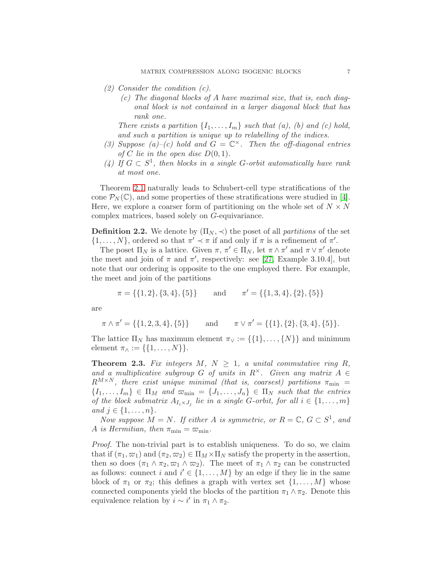- (2) Consider the condition (c).
	- (c) The diagonal blocks of A have maximal size, that is, each diagonal block is not contained in a larger diagonal block that has rank one.

There exists a partition  $\{I_1, \ldots, I_m\}$  such that (a), (b) and (c) hold, and such a partition is unique up to relabelling of the indices.

- (3) Suppose (a)–(c) hold and  $G = \mathbb{C}^{\times}$ . Then the off-diagonal entries of C lie in the open disc  $D(0, 1)$ .
- (4) If  $G \subset S^1$ , then blocks in a single G-orbit automatically have rank at most one.

Theorem [2.1](#page-5-1) naturally leads to Schubert-cell type stratifications of the cone  $\mathcal{P}_N(\mathbb{C})$ , and some properties of these stratifications were studied in [\[4\]](#page-27-2). Here, we explore a coarser form of partitioning on the whole set of  $N \times N$ complex matrices, based solely on G-equivariance.

**Definition 2.2.** We denote by  $(\Pi_N, \prec)$  the poset of all *partitions* of the set  $\{1,\ldots,N\}$ , ordered so that  $\pi' \prec \pi$  if and only if  $\pi$  is a refinement of  $\pi'$ .

The poset  $\Pi_N$  is a lattice. Given  $\pi, \pi' \in \Pi_N$ , let  $\pi \wedge \pi'$  and  $\pi \vee \pi'$  denote the meet and join of  $\pi$  and  $\pi'$ , respectively: see [\[27,](#page-28-11) Example 3.10.4], but note that our ordering is opposite to the one employed there. For example, the meet and join of the partitions

$$
\pi = \{\{1, 2\}, \{3, 4\}, \{5\}\} \qquad \text{and} \qquad \pi' = \{\{1, 3, 4\}, \{2\}, \{5\}\}\
$$

are

$$
\pi \wedge \pi' = \{ \{1, 2, 3, 4\}, \{5\} \} \quad \text{and} \quad \pi \vee \pi' = \{ \{1\}, \{2\}, \{3, 4\}, \{5\} \}.
$$

The lattice  $\Pi_N$  has maximum element  $\pi_{\vee} := \{\{1\}, \ldots, \{N\}\}\$ and minimum element  $\pi_{\wedge} := \{\{1, ..., N\}\}.$ 

<span id="page-6-0"></span>**Theorem 2.3.** Fix integers  $M, N \geq 1$ , a unital commutative ring R, and a multiplicative subgroup G of units in  $R^{\times}$ . Given any matrix  $A \in$  $R^{M \times N}$ , there exist unique minimal (that is, coarsest) partitions  $\pi_{\min}$  =  ${I_1, \ldots, I_m} \in \Pi_M$  and  $\varpi_{\min} = {J_1, \ldots, J_n} \in \Pi_N$  such that the entries of the block submatrix  $A_{I_i \times J_j}$  lie in a single G-orbit, for all  $i \in \{1, \ldots, m\}$ and  $j \in \{1, ..., n\}$ .

Now suppose  $M = N$ . If either A is symmetric, or  $R = \mathbb{C}, G \subset S^1$ , and A is Hermitian, then  $\pi_{\min} = \varpi_{\min}$ .

Proof. The non-trivial part is to establish uniqueness. To do so, we claim that if  $(\pi_1, \varpi_1)$  and  $(\pi_2, \varpi_2) \in \Pi_M \times \Pi_N$  satisfy the property in the assertion, then so does  $(\pi_1 \wedge \pi_2, \varpi_1 \wedge \varpi_2)$ . The meet of  $\pi_1 \wedge \pi_2$  can be constructed as follows: connect i and  $i' \in \{1, ..., M\}$  by an edge if they lie in the same block of  $\pi_1$  or  $\pi_2$ ; this defines a graph with vertex set  $\{1, \ldots, M\}$  whose connected components yield the blocks of the partition  $\pi_1 \wedge \pi_2$ . Denote this equivalence relation by  $i \sim i'$  in  $\pi_1 \wedge \pi_2$ .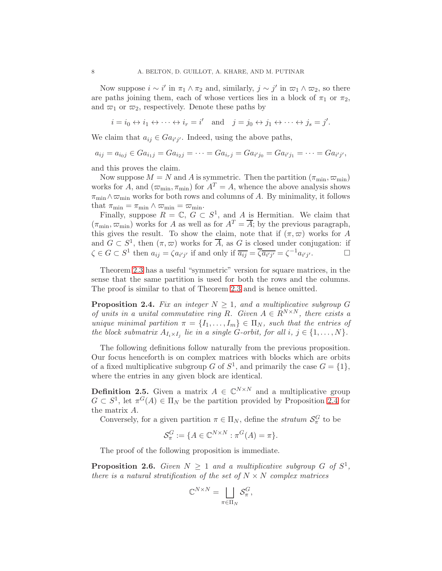Now suppose  $i \sim i'$  in  $\pi_1 \wedge \pi_2$  and, similarly,  $j \sim j'$  in  $\varpi_1 \wedge \varpi_2$ , so there are paths joining them, each of whose vertices lies in a block of  $\pi_1$  or  $\pi_2$ , and  $\varpi_1$  or  $\varpi_2$ , respectively. Denote these paths by

 $i = i_0 \leftrightarrow i_1 \leftrightarrow \cdots \leftrightarrow i_r = i' \text{ and } j = j_0 \leftrightarrow j_1 \leftrightarrow \cdots \leftrightarrow j_s = j'.$ 

We claim that  $a_{ij} \in Ga_{i'j'}$ . Indeed, using the above paths,

$$
a_{ij} = a_{i_0j} \in Ga_{i_1j} = Ga_{i_2j} = \cdots = Ga_{i_rj} = Ga_{i'j_0} = Ga_{i'j_1} = \cdots = Ga_{i'j'},
$$

and this proves the claim.

Now suppose  $M = N$  and A is symmetric. Then the partition  $(\pi_{\min}, \varpi_{\min})$ works for A, and  $(\varpi_{\min}, \pi_{\min})$  for  $A^T = A$ , whence the above analysis shows  $\pi_{\min} \wedge \varpi_{\min}$  works for both rows and columns of A. By minimality, it follows that  $\pi_{\min} = \pi_{\min} \wedge \varpi_{\min} = \varpi_{\min}$ .

Finally, suppose  $R = \mathbb{C}$ ,  $G \subset S^1$ , and  $A$  is Hermitian. We claim that  $(\pi_{\min}, \varpi_{\min})$  works for A as well as for  $A^T = \overline{A}$ ; by the previous paragraph, this gives the result. To show the claim, note that if  $(\pi, \varpi)$  works for A and  $G \subset S^1$ , then  $(\pi, \varpi)$  works for  $\overline{A}$ , as G is closed under conjugation: if  $\zeta \in G \subset S^1$  then  $a_{ij} = \zeta a_{i'j'}$  if and only if  $\overline{a_{ij}} = \overline{\zeta} \overline{a_{i'j'}} = \zeta^{-1} a_{i'j'}$ .

Theorem [2.3](#page-6-0) has a useful "symmetric" version for square matrices, in the sense that the same partition is used for both the rows and the columns. The proof is similar to that of Theorem [2.3](#page-6-0) and is hence omitted.

<span id="page-7-1"></span>**Proposition 2.4.** Fix an integer  $N \geq 1$ , and a multiplicative subgroup G of units in a unital commutative ring R. Given  $A \in R^{N \times N}$ , there exists a unique minimal partition  $\pi = \{I_1, \ldots, I_m\} \in \Pi_N$ , such that the entries of the block submatrix  $A_{I_i \times I_j}$  lie in a single G-orbit, for all i,  $j \in \{1, ..., N\}$ .

The following definitions follow naturally from the previous proposition. Our focus henceforth is on complex matrices with blocks which are orbits of a fixed multiplicative subgroup  $G$  of  $S^1$ , and primarily the case  $G = \{1\}$ , where the entries in any given block are identical.

<span id="page-7-2"></span>**Definition 2.5.** Given a matrix  $A \in \mathbb{C}^{N \times N}$  and a multiplicative group  $G \subset S^1$ , let  $\pi^G(A) \in \Pi_N$  be the partition provided by Proposition [2.4](#page-7-1) for the matrix A.

Conversely, for a given partition  $\pi \in \Pi_N$ , define the *stratum*  $S_{\pi}^G$  to be

$$
\mathcal{S}_{\pi}^G := \{ A \in \mathbb{C}^{N \times N} : \pi^G(A) = \pi \}.
$$

The proof of the following proposition is immediate.

<span id="page-7-0"></span>**Proposition 2.6.** Given  $N \geq 1$  and a multiplicative subgroup G of  $S^1$ , there is a natural stratification of the set of  $N \times N$  complex matrices

$$
\mathbb{C}^{N\times N}=\bigsqcup_{\pi\in\Pi_N}\mathcal{S}_\pi^G,
$$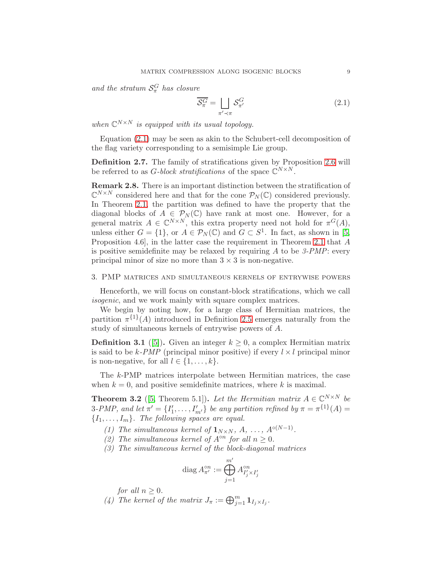and the stratum  $S_{\pi}^G$  has closure

<span id="page-8-1"></span>
$$
\overline{\mathcal{S}_{\pi}^G} = \bigsqcup_{\pi' \prec \pi} \mathcal{S}_{\pi'}^G \tag{2.1}
$$

when  $\mathbb{C}^{N\times N}$  is equipped with its usual topology.

Equation [\(2.1\)](#page-8-1) may be seen as akin to the Schubert-cell decomposition of the flag variety corresponding to a semisimple Lie group.

Definition 2.7. The family of stratifications given by Proposition [2.6](#page-7-0) will be referred to as *G-block stratifications* of the space  $\mathbb{C}^{N\times N}$ .

Remark 2.8. There is an important distinction between the stratification of  $\mathbb{C}^{N\times N}$  considered here and that for the cone  $\mathcal{P}_N(\mathbb{C})$  considered previously. In Theorem [2.1,](#page-5-1) the partition was defined to have the property that the diagonal blocks of  $A \in \mathcal{P}_N(\mathbb{C})$  have rank at most one. However, for a general matrix  $A \in \mathbb{C}^{N \times N}$ , this extra property need not hold for  $\pi^{G}(A)$ , unless either  $G = \{1\}$ , or  $A \in \mathcal{P}_N(\mathbb{C})$  and  $G \subset S^1$ . In fact, as shown in [\[5,](#page-27-3) Proposition 4.6], in the latter case the requirement in Theorem [2.1](#page-5-1) that A is positive semidefinite may be relaxed by requiring A to be  $\beta$ -PMP: every principal minor of size no more than  $3 \times 3$  is non-negative.

#### <span id="page-8-0"></span>3. PMP matrices and simultaneous kernels of entrywise powers

Henceforth, we will focus on constant-block stratifications, which we call isogenic, and we work mainly with square complex matrices.

We begin by noting how, for a large class of Hermitian matrices, the partition  $\pi^{\{1\}}(A)$  introduced in Definition [2.5](#page-7-2) emerges naturally from the study of simultaneous kernels of entrywise powers of A.

**Definition 3.1** ([\[5\]](#page-27-3)). Given an integer  $k \geq 0$ , a complex Hermitian matrix is said to be  $k$ -PMP (principal minor positive) if every  $l \times l$  principal minor is non-negative, for all  $l \in \{1, \ldots, k\}.$ 

The k-PMP matrices interpolate between Hermitian matrices, the case when  $k = 0$ , and positive semidefinite matrices, where k is maximal.

<span id="page-8-2"></span>**Theorem 3.2** ([\[5,](#page-27-3) Theorem 5.1]). Let the Hermitian matrix  $A \in \mathbb{C}^{N \times N}$  be 3-PMP, and let  $\pi' = \{I'_1, \ldots, I'_{m'}\}$  be any partition refined by  $\pi = \pi^{\{1\}}(A) =$  ${I_1, \ldots, I_m}$ . The following spaces are equal.

(1) The simultaneous kernel of  $\mathbf{1}_{N\times N}$ ,  $A$ , ...,  $A^{\circ(N-1)}$ .

- (2) The simultaneous kernel of  $A^{\circ n}$  for all  $n \ge 0$ .
- (3) The simultaneous kernel of the block-diagonal matrices

diag 
$$
A_{\pi'}^{\circ n}
$$
 :=  $\bigoplus_{j=1}^{m'} A_{I'_j \times I'_j}^{\circ n}$ 

for all  $n \geq 0$ .

(4) The kernel of the matrix  $J_{\pi} := \bigoplus_{j=1}^m \mathbf{1}_{I_j \times I_j}$ .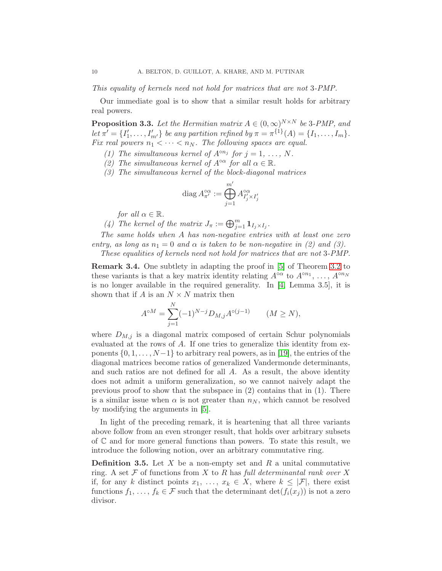This equality of kernels need not hold for matrices that are not 3-PMP.

Our immediate goal is to show that a similar result holds for arbitrary real powers.

**Proposition 3.3.** Let the Hermitian matrix  $A \in (0, \infty)^{N \times N}$  be 3-PMP, and let  $\pi' = \{I'_1, \ldots, I'_{m'}\}$  be any partition refined by  $\pi = \pi^{\{1\}}(A) = \{I_1, \ldots, I_m\}.$ Fix real powers  $n_1 < \cdots < n_N$ . The following spaces are equal.

- (1) The simultaneous kernel of  $A^{\circ n_j}$  for  $j = 1, \ldots, N$ .
- (2) The simultaneous kernel of  $A^{\circ\alpha}$  for all  $\alpha \in \mathbb{R}$ .
- (3) The simultaneous kernel of the block-diagonal matrices

diag 
$$
A_{\pi'}^{\circ\alpha}
$$
 :=  $\bigoplus_{j=1}^{m'} A_{I'_j \times I'_j}^{\circ\alpha}$ 

for all  $\alpha \in \mathbb{R}$ .

(4) The kernel of the matrix  $J_{\pi} := \bigoplus_{j=1}^{m} \mathbf{1}_{I_j \times I_j}$ .

The same holds when A has non-negative entries with at least one zero entry, as long as  $n_1 = 0$  and  $\alpha$  is taken to be non-negative in (2) and (3).

These equalities of kernels need not hold for matrices that are not 3-PMP.

Remark 3.4. One subtlety in adapting the proof in [\[5\]](#page-27-3) of Theorem [3.2](#page-8-2) to these variants is that a key matrix identity relating  $A^{\circ\alpha}$  to  $A^{\circ n_1}, \ldots, A^{\circ n_N}$ is no longer available in the required generality. In [\[4,](#page-27-2) Lemma 3.5], it is shown that if A is an  $N \times N$  matrix then

$$
A^{\circ M} = \sum_{j=1}^{N} (-1)^{N-j} D_{M,j} A^{\circ (j-1)} \qquad (M \ge N),
$$

where  $D_{M,j}$  is a diagonal matrix composed of certain Schur polynomials evaluated at the rows of A. If one tries to generalize this identity from exponents  $\{0, 1, \ldots, N-1\}$  to arbitrary real powers, as in [\[19\]](#page-28-1), the entries of the diagonal matrices become ratios of generalized Vandermonde determinants, and such ratios are not defined for all A. As a result, the above identity does not admit a uniform generalization, so we cannot naively adapt the previous proof to show that the subspace in  $(2)$  contains that in  $(1)$ . There is a similar issue when  $\alpha$  is not greater than  $n_N$ , which cannot be resolved by modifying the arguments in [\[5\]](#page-27-3).

In light of the preceding remark, it is heartening that all three variants above follow from an even stronger result, that holds over arbitrary subsets of  $\mathbb C$  and for more general functions than powers. To state this result, we introduce the following notion, over an arbitrary commutative ring.

<span id="page-9-0"></span>**Definition 3.5.** Let  $X$  be a non-empty set and  $R$  a unital commutative ring. A set  $\mathcal F$  of functions from  $X$  to  $R$  has full determinantal rank over  $X$ if, for any k distinct points  $x_1, \ldots, x_k \in X$ , where  $k \leq |\mathcal{F}|$ , there exist functions  $f_1, \ldots, f_k \in \mathcal{F}$  such that the determinant  $\det(f_i(x_j))$  is not a zero divisor.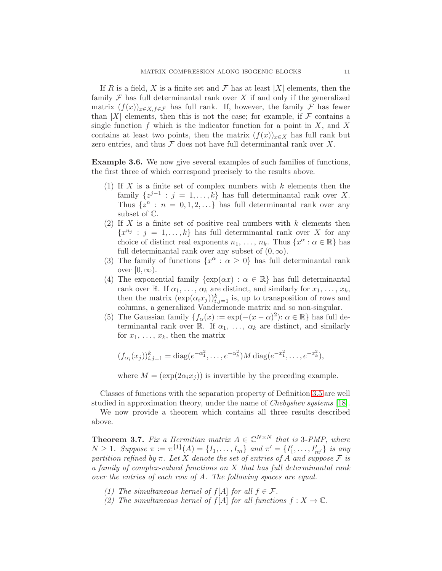If R is a field, X is a finite set and F has at least  $|X|$  elements, then the family  $\mathcal F$  has full determinantal rank over  $X$  if and only if the generalized matrix  $(f(x))_{x\in X, f\in\mathcal{F}}$  has full rank. If, however, the family  $\mathcal F$  has fewer than |X| elements, then this is not the case; for example, if  $\mathcal F$  contains a single function f which is the indicator function for a point in  $X$ , and X contains at least two points, then the matrix  $(f(x))_{x\in X}$  has full rank but zero entries, and thus  $\mathcal F$  does not have full determinantal rank over  $X$ .

Example 3.6. We now give several examples of such families of functions, the first three of which correspond precisely to the results above.

- (1) If X is a finite set of complex numbers with  $k$  elements then the family  $\{z^{j-1} : j = 1, ..., k\}$  has full determinantal rank over X. Thus  $\{z^n : n = 0, 1, 2, \ldots\}$  has full determinantal rank over any subset of C.
- (2) If X is a finite set of positive real numbers with  $k$  elements then  ${x^{n_j}} : j = 1, \ldots, k$  has full determinantal rank over X for any choice of distinct real exponents  $n_1, \ldots, n_k$ . Thus  $\{x^{\alpha} : \alpha \in \mathbb{R}\}$  has full determinantal rank over any subset of  $(0, \infty)$ .
- (3) The family of functions  $\{x^{\alpha} : \alpha \geq 0\}$  has full determinantal rank over  $[0,\infty)$ .
- (4) The exponential family  $\{\exp(\alpha x) : \alpha \in \mathbb{R}\}\$  has full determinantal rank over R. If  $\alpha_1, \ldots, \alpha_k$  are distinct, and similarly for  $x_1, \ldots, x_k$ , then the matrix  $(\exp(\alpha_i x_j))_{i,j=1}^k$  is, up to transposition of rows and columns, a generalized Vandermonde matrix and so non-singular.
- (5) The Gaussian family  $\{f_{\alpha}(x) := \exp(-(x \alpha)^{2}) : \alpha \in \mathbb{R}\}\)$  has full determinantal rank over R. If  $\alpha_1, \ldots, \alpha_k$  are distinct, and similarly for  $x_1, \ldots, x_k$ , then the matrix

$$
(f_{\alpha_i}(x_j))_{i,j=1}^k = \text{diag}(e^{-\alpha_1^2}, \dots, e^{-\alpha_k^2})M \text{ diag}(e^{-x_1^2}, \dots, e^{-x_k^2}),
$$

where  $M = (\exp(2\alpha_i x_i))$  is invertible by the preceding example.

Classes of functions with the separation property of Definition [3.5](#page-9-0) are well studied in approximation theory, under the name of Chebyshev systems [\[18\]](#page-28-12).

We now provide a theorem which contains all three results described above.

<span id="page-10-0"></span>**Theorem 3.7.** Fix a Hermitian matrix  $A \in \mathbb{C}^{N \times N}$  that is 3-PMP, where  $N \geq 1$ . Suppose  $\pi := \pi^{\{1\}}(A) = \{I_1, \ldots, I_m\}$  and  $\pi' = \{I'_1, \ldots, I'_{m'}\}$  is any partition refined by  $\pi$ . Let X denote the set of entries of A and suppose F is a family of complex-valued functions on X that has full determinantal rank over the entries of each row of A. The following spaces are equal.

- (1) The simultaneous kernel of  $f[A]$  for all  $f \in \mathcal{F}$ .
- (2) The simultaneous kernel of  $f[A]$  for all functions  $f: X \to \mathbb{C}$ .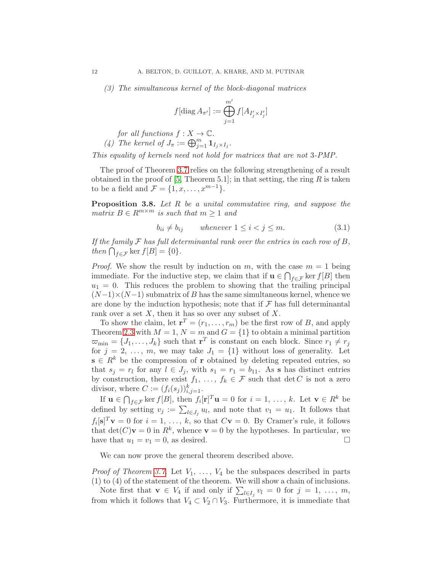(3) The simultaneous kernel of the block-diagonal matrices

$$
f[\operatorname{diag} A_{\pi'}] := \bigoplus_{j=1}^{m'} f[A_{I'_j \times I'_j}]
$$

for all functions  $f: X \to \mathbb{C}$ . (4) The kernel of  $J_{\pi} := \bigoplus_{j=1}^m \mathbf{1}_{I_j \times I_j}$ .

This equality of kernels need not hold for matrices that are not 3-PMP.

The proof of Theorem [3.7](#page-10-0) relies on the following strengthening of a result obtained in the proof of  $[5,$  Theorem 5.1]; in that setting, the ring R is taken to be a field and  $\mathcal{F} = \{1, x, \ldots, x^{m-1}\}.$ 

<span id="page-11-1"></span>Proposition 3.8. Let R be a unital commutative ring, and suppose the matrix  $B \in R^{m \times m}$  is such that  $m \geq 1$  and

<span id="page-11-0"></span>
$$
b_{ii} \neq b_{ij} \qquad \text{whenever } 1 \le i < j \le m. \tag{3.1}
$$

If the family  $\mathcal F$  has full determinantal rank over the entries in each row of  $B$ , then  $\bigcap_{f \in \mathcal{F}} \ker f[B] = \{0\}.$ 

*Proof.* We show the result by induction on m, with the case  $m = 1$  being immediate. For the inductive step, we claim that if  $\mathbf{u} \in \bigcap_{f \in \mathcal{F}} \ker f[B]$  then  $u_1 = 0$ . This reduces the problem to showing that the trailing principal  $(N-1)\times(N-1)$  submatrix of B has the same simultaneous kernel, whence we are done by the induction hypothesis; note that if  $\mathcal F$  has full determinantal rank over a set  $X$ , then it has so over any subset of  $X$ .

To show the claim, let  $\mathbf{r}^T = (r_1, \ldots, r_m)$  be the first row of B, and apply Theorem [2.3](#page-6-0) with  $M = 1$ ,  $N = m$  and  $G = \{1\}$  to obtain a minimal partition  $\varpi_{\min} = \{J_1, \ldots, J_k\}$  such that  $\mathbf{r}^T$  is constant on each block. Since  $r_1 \neq r_j$ for  $j = 2, \ldots, m$ , we may take  $J_1 = \{1\}$  without loss of generality. Let  $\mathbf{s} \in \mathbb{R}^k$  be the compression of **r** obtained by deleting repeated entries, so that  $s_j = r_l$  for any  $l \in J_j$ , with  $s_1 = r_1 = b_{11}$ . As **s** has distinct entries by construction, there exist  $f_1, \ldots, f_k \in \mathcal{F}$  such that  $\det C$  is not a zero divisor, where  $C := (f_i(s_j))_{i,j=1}^k$ .

If  $\mathbf{u} \in \bigcap_{f \in \mathcal{F}} \ker f[B]$ , then  $f_i[\mathbf{r}]^T \mathbf{u} = 0$  for  $i = 1, \ldots, k$ . Let  $\mathbf{v} \in R^k$  be defined by setting  $v_j := \sum_{l \in J_j} u_l$ , and note that  $v_1 = u_1$ . It follows that  $f_i[\mathbf{s}]^T \mathbf{v} = 0$  for  $i = 1, \ldots, k$ , so that  $C\mathbf{v} = 0$ . By Cramer's rule, it follows that  $\det(C)\mathbf{v} = 0$  in  $R^k$ , whence  $\mathbf{v} = 0$  by the hypotheses. In particular, we have that  $u_1 = v_1 = 0$ , as desired.

We can now prove the general theorem described above.

*Proof of Theorem [3.7.](#page-10-0)* Let  $V_1, \ldots, V_4$  be the subspaces described in parts (1) to (4) of the statement of the theorem. We will show a chain of inclusions.

Note first that  $\mathbf{v} \in V_4$  if and only if  $\sum_{l \in I_j} v_l = 0$  for  $j = 1, \ldots, m$ , from which it follows that  $V_4 \subset V_2 \cap V_3$ . Furthermore, it is immediate that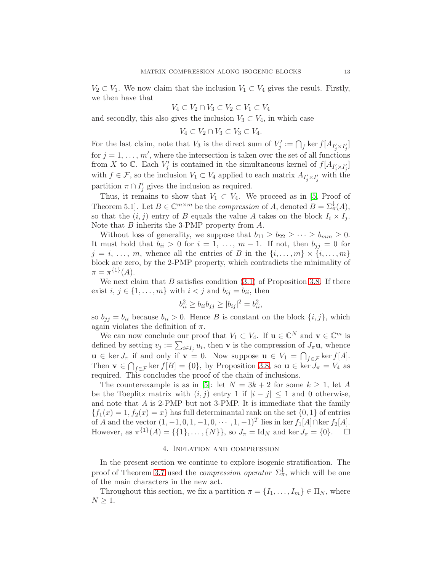$V_2 \subset V_1$ . We now claim that the inclusion  $V_1 \subset V_4$  gives the result. Firstly, we then have that

$$
V_4 \subset V_2 \cap V_3 \subset V_2 \subset V_1 \subset V_4
$$

and secondly, this also gives the inclusion  $V_3 \subset V_4$ , in which case

$$
V_4 \subset V_2 \cap V_3 \subset V_3 \subset V_4.
$$

For the last claim, note that  $V_3$  is the direct sum of  $V'_j := \bigcap_f \ker f[A_{I'_j \times I'_j}]$ for  $j = 1, \ldots, m'$ , where the intersection is taken over the set of all functions from X to  $\mathbb C$ . Each  $V'_j$  is contained in the simultaneous kernel of  $f[A_{I'_j \times I'_j}]$ with  $f \in \mathcal{F}$ , so the inclusion  $V_1 \subset V_4$  applied to each matrix  $A_{I'_j \times I'_j}$  with the partition  $\pi \cap I'_j$  gives the inclusion as required.

Thus, it remains to show that  $V_1 \subset V_4$ . We proceed as in [\[5,](#page-27-3) Proof of Theorem 5.1]. Let  $B \in \mathbb{C}^{m \times m}$  be the *compression* of A, denoted  $B = \sum_{\pi}^{\downarrow}(A)$ , so that the  $(i, j)$  entry of B equals the value A takes on the block  $I_i \times I_j$ . Note that B inherits the 3-PMP property from A.

Without loss of generality, we suppose that  $b_{11} \geq b_{22} \geq \cdots \geq b_{mm} \geq 0$ . It must hold that  $b_{ii} > 0$  for  $i = 1, \ldots, m-1$ . If not, then  $b_{jj} = 0$  for  $j = i, \ldots, m$ , whence all the entries of B in the  $\{i, \ldots, m\} \times \{i, \ldots, m\}$ block are zero, by the 2-PMP property, which contradicts the minimality of  $\pi = \pi^{\{1\}}(A).$ 

We next claim that  $B$  satisfies condition  $(3.1)$  of Proposition [3.8.](#page-11-1) If there exist  $i, j \in \{1, \ldots, m\}$  with  $i < j$  and  $b_{ij} = b_{ii}$ , then

$$
b_{ii}^2 \ge b_{ii} b_{jj} \ge |b_{ij}|^2 = b_{ii}^2,
$$

so  $b_{ij} = b_{ii}$  because  $b_{ii} > 0$ . Hence B is constant on the block  $\{i, j\}$ , which again violates the definition of  $\pi$ .

We can now conclude our proof that  $V_1 \subset V_4$ . If  $\mathbf{u} \in \mathbb{C}^N$  and  $\mathbf{v} \in \mathbb{C}^m$  is defined by setting  $v_j := \sum_{i \in I_j} u_i$ , then **v** is the compression of  $J_{\pi}$ **u**, whence  $\mathbf{u} \in \text{ker } J_{\pi}$  if and only if  $\mathbf{v} = 0$ . Now suppose  $\mathbf{u} \in V_1 = \bigcap_{f \in \mathcal{F}} \text{ker } f[A]$ . Then  $\mathbf{v} \in \bigcap_{f \in \mathcal{F}} \ker f[B] = \{0\}$ , by Proposition [3.8,](#page-11-1) so  $\mathbf{u} \in \ker J_\pi = V_4$  as required. This concludes the proof of the chain of inclusions.

The counterexample is as in [\[5\]](#page-27-3): let  $N = 3k + 2$  for some  $k \geq 1$ , let A be the Toeplitz matrix with  $(i, j)$  entry 1 if  $|i - j| \leq 1$  and 0 otherwise, and note that A is 2-PMP but not 3-PMP. It is immediate that the family  ${f_1(x) = 1, f_2(x) = x}$  has full determinantal rank on the set  ${0, 1}$  of entries of A and the vector  $(1, -1, 0, 1, -1, 0, \cdots, 1, -1)^T$  lies in ker  $f_1[A] \cap \text{ker } f_2[A]$ . However, as  $\pi^{\{1\}}(A) = \{\{1\}, \ldots, \{N\}\}\,$  so  $J_{\pi} = \text{Id}_N$  and ker  $J_{\pi} = \{0\}.$   $\Box$ 

# 4. Inflation and compression

<span id="page-12-0"></span>In the present section we continue to explore isogenic stratification. The proof of Theorem [3.7](#page-10-0) used the *compression operator*  $\Sigma_{\pi}^{\downarrow}$ , which will be one of the main characters in the new act.

Throughout this section, we fix a partition  $\pi = \{I_1, \ldots, I_m\} \in \Pi_N$ , where  $N \geq 1$ .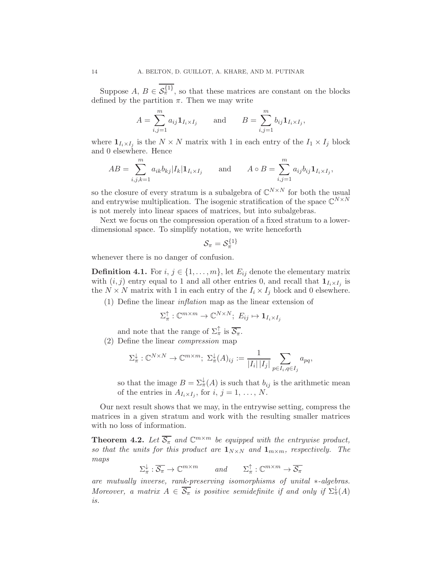Suppose  $A, B \in S_{\pi}^{\{1\}}$ , so that these matrices are constant on the blocks defined by the partition  $\pi$ . Then we may write

$$
A = \sum_{i,j=1}^m a_{ij} \mathbf{1}_{I_i \times I_j} \quad \text{and} \quad B = \sum_{i,j=1}^m b_{ij} \mathbf{1}_{I_i \times I_j},
$$

where  $\mathbf{1}_{I_i \times I_j}$  is the  $N \times N$  matrix with 1 in each entry of the  $I_1 \times I_j$  block and 0 elsewhere. Hence

$$
AB = \sum_{i,j,k=1}^m a_{ik}b_{kj} |I_k| \mathbf{1}_{I_i \times I_j} \quad \text{and} \quad A \circ B = \sum_{i,j=1}^m a_{ij}b_{ij} \mathbf{1}_{I_i \times I_j},
$$

so the closure of every stratum is a subalgebra of  $\mathbb{C}^{N\times N}$  for both the usual and entrywise multiplication. The isogenic stratification of the space  $\mathbb{C}^{N\times N}$ is not merely into linear spaces of matrices, but into subalgebras.

Next we focus on the compression operation of a fixed stratum to a lowerdimensional space. To simplify notation, we write henceforth

$$
\mathcal{S}_{\pi}=\mathcal{S}_{\pi}^{\{1\}}
$$

whenever there is no danger of confusion.

**Definition 4.1.** For  $i, j \in \{1, \ldots, m\}$ , let  $E_{ij}$  denote the elementary matrix with  $(i, j)$  entry equal to 1 and all other entries 0, and recall that  $\mathbf{1}_{I_i \times I_j}$  is the  $N \times N$  matrix with 1 in each entry of the  $I_i \times I_j$  block and 0 elsewhere.

(1) Define the linear inflation map as the linear extension of

$$
\Sigma_{\pi}^{\uparrow} : \mathbb{C}^{m \times m} \to \mathbb{C}^{N \times N}; \ E_{ij} \mapsto \mathbf{1}_{I_i \times I_j}
$$

and note that the range of  $\Sigma_{\pi}^{\uparrow}$  is  $\overline{\mathcal{S}_{\pi}}$ .

(2) Define the linear compression map

$$
\Sigma_{\pi}^{\downarrow} : \mathbb{C}^{N \times N} \to \mathbb{C}^{m \times m}; \ \Sigma_{\pi}^{\downarrow}(A)_{ij} := \frac{1}{|I_i| |I_j|} \sum_{p \in I_i, q \in I_j} a_{pq},
$$

so that the image  $B = \sum_{\pi}^{\downarrow} (A)$  is such that  $b_{ij}$  is the arithmetic mean of the entries in  $A_{I_i \times I_j}$ , for  $i, j = 1, ..., N$ .

Our next result shows that we may, in the entrywise setting, compress the matrices in a given stratum and work with the resulting smaller matrices with no loss of information.

<span id="page-13-0"></span>**Theorem 4.2.** Let  $\overline{S_{\pi}}$  and  $\mathbb{C}^{m \times m}$  be equipped with the entrywise product, so that the units for this product are  $1_{N\times N}$  and  $1_{m\times m}$ , respectively. The maps

 $\Sigma_{\pi}^{\downarrow} : \overline{\mathcal{S}_{\pi}} \to \mathbb{C}^{m \times m}$  and  $\Sigma_{\pi}^{\uparrow} : \mathbb{C}^{m \times m} \to \overline{\mathcal{S}_{\pi}}$ 

are mutually inverse, rank-preserving isomorphisms of unital ∗-algebras. Moreover, a matrix  $A \in \overline{S_{\pi}}$  is positive semidefinite if and only if  $\Sigma_{\pi}^{\downarrow}(A)$ is.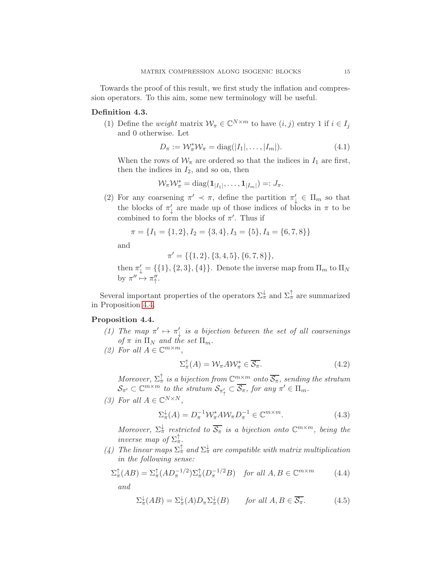Towards the proof of this result, we first study the inflation and compression operators. To this aim, some new terminology will be useful.

#### Definition 4.3.

(1) Define the *weight* matrix  $W_{\pi} \in \mathbb{C}^{N \times m}$  to have  $(i, j)$  entry 1 if  $i \in I_j$ and 0 otherwise. Let

$$
D_{\pi} := \mathcal{W}_{\pi}^* \mathcal{W}_{\pi} = \text{diag}(|I_1|, \dots, |I_m|). \tag{4.1}
$$

When the rows of  $\mathcal{W}_{\pi}$  are ordered so that the indices in  $I_1$  are first, then the indices in  $I_2$ , and so on, then

$$
\mathcal{W}_{\pi}\mathcal{W}_{\pi}^*=\mathrm{diag}(\mathbf{1}_{|I_1|},\ldots,\mathbf{1}_{|I_m|})=:J_{\pi}.
$$

(2) For any coarsening  $\pi' \prec \pi$ , define the partition  $\pi'_{\downarrow} \in \Pi_m$  so that the blocks of  $\pi'_{\downarrow}$  are made up of those indices of blocks in  $\pi$  to be combined to form the blocks of  $\pi'$ . Thus if

$$
\pi = \{I_1 = \{1, 2\}, I_2 = \{3, 4\}, I_3 = \{5\}, I_4 = \{6, 7, 8\}\}\
$$

and

 $\pi' = \{\{1, 2\}, \{3, 4, 5\}, \{6, 7, 8\}\},\$ 

then  $\pi'_{\downarrow} = \{\{1\}, \{2, 3\}, \{4\}\}\$ . Denote the inverse map from  $\Pi_m$  to  $\Pi_N$ by  $\pi'' \mapsto \pi''_{\uparrow}$ .

Several important properties of the operators  $\Sigma_{\pi}^{\downarrow}$  and  $\Sigma_{\pi}^{\uparrow}$  are summarized in Proposition [4.4.](#page-14-0)

### <span id="page-14-0"></span>Proposition 4.4.

- (1) The map  $\pi' \mapsto \pi'_{\downarrow}$  is a bijection between the set of all coarsenings of  $\pi$  in  $\Pi_N$  and the set  $\Pi_m$ .
- (2) For all  $A \in \mathbb{C}^{m \times m}$ ,

<span id="page-14-1"></span>
$$
\Sigma_{\pi}^{\uparrow}(A) = \mathcal{W}_{\pi} A \mathcal{W}_{\pi}^* \in \overline{\mathcal{S}_{\pi}}.
$$
\n(4.2)

Moreover,  $\Sigma_{\pi}^{\uparrow}$  is a bijection from  $\mathbb{C}^{m \times m}$  onto  $\overline{\mathcal{S}_{\pi}}$ , sending the stratum  $\mathcal{S}_{\pi'} \subset \mathbb{C}^{m \times m}$  to the stratum  $\mathcal{S}_{\pi'_\uparrow} \subset \overline{\mathcal{S}_{\pi}}$ , for any  $\pi' \in \Pi_m$ .

(3) For all  $A \in \mathbb{C}^{N \times N}$ ,

<span id="page-14-2"></span>
$$
\Sigma_{\pi}^{\downarrow}(A) = D_{\pi}^{-1} \mathcal{W}_{\pi}^* A \mathcal{W}_{\pi} D_{\pi}^{-1} \in \mathbb{C}^{m \times m}.
$$
 (4.3)

Moreover,  $\Sigma_{\pi}^{\downarrow}$  restricted to  $\overline{\mathcal{S}_{\pi}}$  is a bijection onto  $\mathbb{C}^{m \times m}$ , being the inverse map of  $\Sigma^{\uparrow}_{\pi}$ .

(4) The linear maps  $\Sigma_{\pi}^{\uparrow}$  and  $\Sigma_{\pi}^{\downarrow}$  are compatible with matrix multiplication in the following sense:

<span id="page-14-3"></span>
$$
\Sigma_{\pi}^{\uparrow}(AB) = \Sigma_{\pi}^{\uparrow}(AD_{\pi}^{-1/2})\Sigma_{\pi}^{\uparrow}(D_{\pi}^{-1/2}B) \quad \text{for all } A, B \in \mathbb{C}^{m \times m} \tag{4.4}
$$

and

<span id="page-14-4"></span>
$$
\Sigma_{\pi}^{\downarrow}(AB) = \Sigma_{\pi}^{\downarrow}(A)D_{\pi}\Sigma_{\pi}^{\downarrow}(B) \quad \text{for all } A, B \in \overline{\mathcal{S}_{\pi}}.
$$
 (4.5)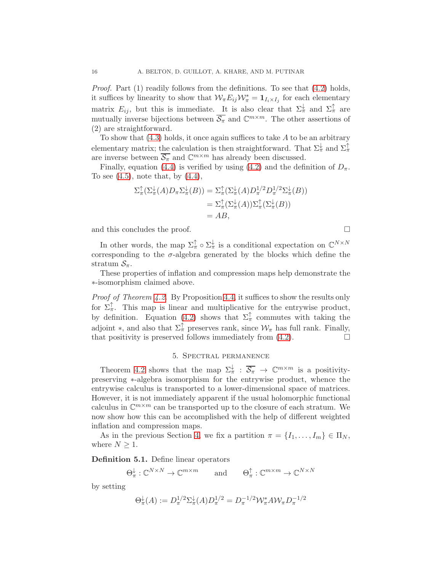*Proof.* Part  $(1)$  readily follows from the definitions. To see that  $(4.2)$  holds, it suffices by linearity to show that  $\mathcal{W}_{\pi} E_{ij} \mathcal{W}_{\pi}^* = \mathbf{1}_{I_i \times I_j}$  for each elementary matrix  $E_{ij}$ , but this is immediate. It is also clear that  $\Sigma_{\pi}^{\downarrow}$  and  $\Sigma_{\pi}^{\uparrow}$  are mutually inverse bijections between  $\overline{\mathcal{S}_{\pi}}$  and  $\mathbb{C}^{m \times m}$ . The other assertions of (2) are straightforward.

To show that  $(4.3)$  holds, it once again suffices to take  $A$  to be an arbitrary elementary matrix; the calculation is then straightforward. That  $\Sigma_{\pi}^{\downarrow}$  and  $\Sigma_{\pi}^{\uparrow}$ are inverse between  $\overline{\mathcal{S}_{\pi}}$  and  $\mathbb{C}^{m \times m}$  has already been discussed.

Finally, equation [\(4.4\)](#page-14-3) is verified by using [\(4.2\)](#page-14-1) and the definition of  $D_{\pi}$ . To see  $(4.5)$ , note that, by  $(4.4)$ ,

$$
\Sigma_{\pi}^{\uparrow}(\Sigma_{\pi}^{\downarrow}(A)D_{\pi}\Sigma_{\pi}^{\downarrow}(B)) = \Sigma_{\pi}^{\uparrow}(\Sigma_{\pi}^{\downarrow}(A)D_{\pi}^{1/2}D_{\pi}^{1/2}\Sigma_{\pi}^{\downarrow}(B))
$$
  
=  $\Sigma_{\pi}^{\uparrow}(\Sigma_{\pi}^{\downarrow}(A))\Sigma_{\pi}^{\uparrow}(\Sigma_{\pi}^{\downarrow}(B))$   
= AB,

and this concludes the proof.

In other words, the map  $\Sigma_{\pi}^{\uparrow} \circ \Sigma_{\pi}^{\downarrow}$  is a conditional expectation on  $\mathbb{C}^{N \times N}$ corresponding to the  $\sigma$ -algebra generated by the blocks which define the stratum  $S_{\pi}$ .

These properties of inflation and compression maps help demonstrate the ∗-isomorphism claimed above.

Proof of Theorem [4.2.](#page-13-0) By Proposition [4.4,](#page-14-0) it suffices to show the results only for  $\Sigma_{\pi}^{\uparrow}$ . This map is linear and multiplicative for the entrywise product, by definition. Equation [\(4.2\)](#page-14-1) shows that  $\Sigma_{\pi}^{\uparrow}$  commutes with taking the adjoint  $\ast$ , and also that  $\Sigma^{\uparrow}_{\pi}$  preserves rank, since  $\mathcal{W}_{\pi}$  has full rank. Finally, that positivity is preserved follows immediately from  $(4.2)$ .

#### 5. Spectral permanence

<span id="page-15-0"></span>Theorem [4.2](#page-13-0) shows that the map  $\Sigma_{\pi}^{\downarrow}$  :  $\overline{\mathcal{S}_{\pi}} \to \mathbb{C}^{m \times m}$  is a positivitypreserving ∗-algebra isomorphism for the entrywise product, whence the entrywise calculus is transported to a lower-dimensional space of matrices. However, it is not immediately apparent if the usual holomorphic functional calculus in  $\mathbb{C}^{m \times m}$  can be transported up to the closure of each stratum. We now show how this can be accomplished with the help of different weighted inflation and compression maps.

As in the previous Section [4,](#page-12-0) we fix a partition  $\pi = \{I_1, \ldots, I_m\} \in \Pi_N$ , where  $N \geq 1$ .

# Definition 5.1. Define linear operators

 $\Theta_{\pi}^{\downarrow} : \mathbb{C}^{N \times N} \to \mathbb{C}^{m \times m}$  and  $\Theta_{\pi}^{\uparrow} : \mathbb{C}^{m \times m} \to \mathbb{C}^{N \times N}$ 

by setting

$$
\Theta_{\pi}^{\downarrow}(A) := D_{\pi}^{1/2} \Sigma_{\pi}^{\downarrow}(A) D_{\pi}^{1/2} = D_{\pi}^{-1/2} \mathcal{W}_{\pi}^{*} A \mathcal{W}_{\pi} D_{\pi}^{-1/2}
$$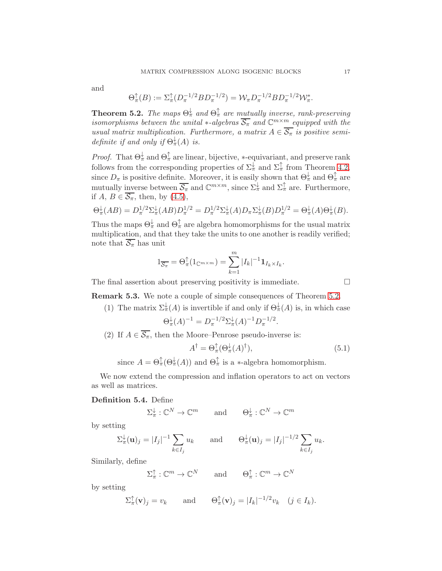and

$$
\Theta_{\pi}^{\uparrow}(B) := \Sigma_{\pi}^{\uparrow}(D_{\pi}^{-1/2}BD_{\pi}^{-1/2}) = \mathcal{W}_{\pi}D_{\pi}^{-1/2}BD_{\pi}^{-1/2}\mathcal{W}_{\pi}^{*}.
$$

<span id="page-16-0"></span>**Theorem 5.2.** The maps  $\Theta_{\pi}^{\downarrow}$  and  $\Theta_{\pi}^{\uparrow}$  are mutually inverse, rank-preserving isomorphisms between the unital  $*$ -algebras  $\overline{S_{\pi}}$  and  $\mathbb{C}^{m \times m}$  equipped with the usual matrix multiplication. Furthermore, a matrix  $A \in \overline{S_{\pi}}$  is positive semidefinite if and only if  $\Theta_{\pi}^{\downarrow}(A)$  is.

*Proof.* That  $\Theta_{\pi}^{\downarrow}$  and  $\Theta_{\pi}^{\uparrow}$  are linear, bijective, \*-equivariant, and preserve rank follows from the corresponding properties of  $\Sigma_{\pi}^{\downarrow}$  and  $\Sigma_{\pi}^{\uparrow}$  from Theorem [4.2,](#page-13-0) since  $D_{\pi}$  is positive definite. Moreover, it is easily shown that  $\Theta_{\pi}^{\downarrow}$  and  $\Theta_{\pi}^{\uparrow}$  are mutually inverse between  $\overline{\mathcal{S}_{\pi}}$  and  $\mathbb{C}^{m \times m}$ , since  $\Sigma_{\pi}^{\downarrow}$  and  $\Sigma_{\pi}^{\uparrow}$  are. Furthermore, if  $A, B \in \overline{\mathcal{S}_{\pi}},$  then, by  $(4.5)$ ,

$$
\Theta_{\pi}^{\downarrow}(AB) = D_{\pi}^{1/2} \Sigma_{\pi}^{\downarrow}(AB) D_{\pi}^{1/2} = D_{\pi}^{1/2} \Sigma_{\pi}^{\downarrow}(A) D_{\pi} \Sigma_{\pi}^{\downarrow}(B) D_{\pi}^{1/2} = \Theta_{\pi}^{\downarrow}(A) \Theta_{\pi}^{\downarrow}(B).
$$

Thus the maps  $\Theta_{\pi}^{\downarrow}$  and  $\Theta_{\pi}^{\uparrow}$  are algebra homomorphisms for the usual matrix multiplication, and that they take the units to one another is readily verified; note that  $\overline{\mathcal{S}_{\pi}}$  has unit

$$
1_{\overline{\mathcal{S}_{\pi}}} = \Theta_{\pi}^{\uparrow}(1_{\mathbb{C}^{m \times m}}) = \sum_{k=1}^{m} |I_k|^{-1} \mathbf{1}_{I_k \times I_k}
$$

The final assertion about preserving positivity is immediate.  $\Box$ 

Remark 5.3. We note a couple of simple consequences of Theorem [5.2.](#page-16-0)

(1) The matrix  $\Sigma_{\pi}^{\downarrow}(A)$  is invertible if and only if  $\Theta_{\pi}^{\downarrow}(A)$  is, in which case

$$
\Theta_{\pi}^{\downarrow}(A)^{-1} = D_{\pi}^{-1/2} \Sigma_{\pi}^{\downarrow}(A)^{-1} D_{\pi}^{-1/2}.
$$

(2) If  $A \in \overline{\mathcal{S}_{\pi}}$ , then the Moore–Penrose pseudo-inverse is:

$$
A^{\dagger} = \Theta_{\pi}^{\uparrow}(\Theta_{\pi}^{\downarrow}(A)^{\dagger}), \tag{5.1}
$$

.

since  $A = \Theta_{\pi}^{\uparrow}(\Theta_{\pi}^{\downarrow}(A))$  and  $\Theta_{\pi}^{\uparrow}$  is a \*-algebra homomorphism.

We now extend the compression and inflation operators to act on vectors as well as matrices.

## Definition 5.4. Define

$$
\Sigma_{\pi}^{\downarrow} : \mathbb{C}^N \to \mathbb{C}^m \qquad \text{and} \qquad \Theta_{\pi}^{\downarrow} : \mathbb{C}^N \to \mathbb{C}^m
$$

by setting

$$
\Sigma_{\pi}^{\downarrow}(\mathbf{u})_j = |I_j|^{-1} \sum_{k \in I_j} u_k \quad \text{and} \quad \Theta_{\pi}^{\downarrow}(\mathbf{u})_j = |I_j|^{-1/2} \sum_{k \in I_j} u_k.
$$

Similarly, define

$$
\Sigma_{\pi}^{\uparrow} : \mathbb{C}^m \to \mathbb{C}^N \qquad \text{and} \qquad \Theta_{\pi}^{\uparrow} : \mathbb{C}^m \to \mathbb{C}^N
$$

by setting

$$
\Sigma_{\pi}^{\uparrow}(\mathbf{v})_j = v_k \quad \text{and} \quad \Theta_{\pi}^{\uparrow}(\mathbf{v})_j = |I_k|^{-1/2} v_k \quad (j \in I_k).
$$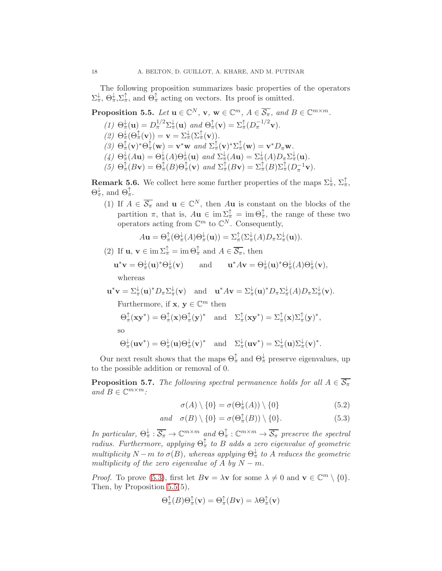The following proposition summarizes basic properties of the operators  $\Sigma^{\downarrow}_{\pi}$ ,  $\Theta^{\downarrow}_{\pi}$ ,  $\Sigma^{\uparrow}_{\pi}$ , and  $\Theta^{\uparrow}_{\pi}$  acting on vectors. Its proof is omitted.

<span id="page-17-1"></span>**Proposition 5.5.** Let 
$$
\mathbf{u} \in \mathbb{C}^N
$$
,  $\mathbf{v}$ ,  $\mathbf{w} \in \mathbb{C}^m$ ,  $A \in \overline{S_\pi}$ , and  $B \in \mathbb{C}^{m \times m}$ .  
\n(1)  $\Theta_{\pi}^{\downarrow}(\mathbf{u}) = D_{\pi}^{1/2} \Sigma_{\pi}^{\downarrow}(\mathbf{u})$  and  $\Theta_{\pi}^{\uparrow}(\mathbf{v}) = \Sigma_{\pi}^{\uparrow}(D_{\pi}^{-1/2}\mathbf{v})$ .  
\n(2)  $\Theta_{\pi}^{\downarrow}(\Theta_{\pi}^{\uparrow}(\mathbf{v})) = \mathbf{v} = \Sigma_{\pi}^{\downarrow}(\Sigma_{\pi}^{\uparrow}(\mathbf{v}))$ .  
\n(3)  $\Theta_{\pi}^{\uparrow}(\mathbf{v})^* \Theta_{\pi}^{\uparrow}(\mathbf{w}) = \mathbf{v}^* \mathbf{w}$  and  $\Sigma_{\pi}^{\uparrow}(\mathbf{v})^* \Sigma_{\pi}^{\uparrow}(\mathbf{w}) = \mathbf{v}^* D_{\pi} \mathbf{w}$ .  
\n(4)  $\Theta_{\pi}^{\downarrow}(A\mathbf{u}) = \Theta_{\pi}^{\downarrow}(A) \Theta_{\pi}^{\downarrow}(\mathbf{u})$  and  $\Sigma_{\pi}^{\downarrow}(A\mathbf{u}) = \Sigma_{\pi}^{\downarrow}(A) D_{\pi} \Sigma_{\pi}^{\downarrow}(\mathbf{u})$ .  
\n(5)  $\Theta_{\pi}^{\uparrow}(B\mathbf{v}) = \Theta_{\pi}^{\uparrow}(B) \Theta_{\pi}^{\uparrow}(\mathbf{v})$  and  $\Sigma_{\pi}^{\uparrow}(B\mathbf{v}) = \Sigma_{\pi}^{\uparrow}(B) \Sigma_{\pi}^{\uparrow}(D_{\pi}^{-1}\mathbf{v})$ .

**Remark 5.6.** We collect here some further properties of the maps  $\Sigma_{\pi}^{\downarrow}$ ,  $\Sigma_{\pi}^{\uparrow}$ ,  $\Theta_{\pi}^{\downarrow}$ , and  $\Theta_{\pi}^{\uparrow}$ .

(1) If  $A \in \overline{\mathcal{S}_{\pi}}$  and  $\mathbf{u} \in \mathbb{C}^{N}$ , then  $A\mathbf{u}$  is constant on the blocks of the partition  $\pi$ , that is,  $A\mathbf{u} \in \text{im}\,\Sigma_{\pi}^{\uparrow} = \text{im}\,\Theta_{\pi}^{\uparrow}$ , the range of these two operators acting from  $\mathbb{C}^m$  to  $\mathbb{C}^N$ . Consequently,

$$
A\mathbf{u} = \Theta_{\pi}^{\uparrow}(\Theta_{\pi}^{\downarrow}(A)\Theta_{\pi}^{\downarrow}(\mathbf{u})) = \Sigma_{\pi}^{\uparrow}(\Sigma_{\pi}^{\downarrow}(A)D_{\pi}\Sigma_{\pi}^{\downarrow}(\mathbf{u})).
$$

(2) If  $\mathbf{u}, \mathbf{v} \in \text{im } \Sigma_{\pi}^{\uparrow} = \text{im } \Theta_{\pi}^{\uparrow} \text{ and } A \in \overline{\mathcal{S}_{\pi}}, \text{ then}$ 

$$
\mathbf{u}^*\mathbf{v} = \Theta_\pi^\downarrow(\mathbf{u})^*\Theta_\pi^\downarrow(\mathbf{v}) \qquad \text{and} \qquad \mathbf{u}^*A\mathbf{v} = \Theta_\pi^\downarrow(\mathbf{u})^*\Theta_\pi^\downarrow(A)\Theta_\pi^\downarrow(\mathbf{v}),
$$

whereas

 $\mathbf{u}^*\mathbf{v} = \Sigma_{\pi}^{\downarrow}(\mathbf{u})^* D_{\pi} \Sigma_{\pi}^{\downarrow}(\mathbf{v})$  and  $\mathbf{u}^* A \mathbf{v} = \Sigma_{\pi}^{\downarrow}(\mathbf{u})^* D_{\pi} \Sigma_{\pi}^{\downarrow}(A) D_{\pi} \Sigma_{\pi}^{\downarrow}(\mathbf{v}).$ Furthermore, if  $\mathbf{x}, \mathbf{y} \in \mathbb{C}^m$  then

$$
\Theta_{\pi}^{\uparrow}(\mathbf{x}\mathbf{y}^*) = \Theta_{\pi}^{\uparrow}(\mathbf{x})\Theta_{\pi}^{\uparrow}(\mathbf{y})^* \quad \text{and} \quad \Sigma_{\pi}^{\uparrow}(\mathbf{x}\mathbf{y}^*) = \Sigma_{\pi}^{\uparrow}(\mathbf{x})\Sigma_{\pi}^{\uparrow}(\mathbf{y})^*,
$$

so

$$
\Theta_{\pi}^{\downarrow}(\mathbf{u}\mathbf{v}^*) = \Theta_{\pi}^{\downarrow}(\mathbf{u})\Theta_{\pi}^{\downarrow}(\mathbf{v})^* \quad \text{and} \quad \Sigma_{\pi}^{\downarrow}(\mathbf{u}\mathbf{v}^*) = \Sigma_{\pi}^{\downarrow}(\mathbf{u})\Sigma_{\pi}^{\downarrow}(\mathbf{v})^*.
$$

Our next result shows that the maps  $\Theta_{\pi}^{\uparrow}$  and  $\Theta_{\pi}^{\downarrow}$  preserve eigenvalues, up to the possible addition or removal of 0.

<span id="page-17-3"></span>**Proposition 5.7.** The following spectral permanence holds for all  $A \in \overline{S_{\pi}}$ and  $B \in \mathbb{C}^{m \times m}$ :

<span id="page-17-2"></span><span id="page-17-0"></span>
$$
\sigma(A) \setminus \{0\} = \sigma(\Theta_{\pi}^{\downarrow}(A)) \setminus \{0\} \tag{5.2}
$$

$$
and \quad \sigma(B) \setminus \{0\} = \sigma(\Theta_{\pi}^{\uparrow}(B)) \setminus \{0\}.
$$
 (5.3)

In particular,  $\Theta_{\pi}^{\downarrow} : \overline{\mathcal{S}_{\pi}} \to \mathbb{C}^{m \times m}$  and  $\Theta_{\pi}^{\uparrow} : \mathbb{C}^{m \times m} \to \overline{\mathcal{S}_{\pi}}$  preserve the spectral radius. Furthermore, applying  $\Theta_{\pi}^{\uparrow}$  to B adds a zero eigenvalue of geometric multiplicity  $N-m$  to  $\sigma(B)$ , whereas applying  $\Theta_{\pi}^{\downarrow}$  to A reduces the geometric multiplicity of the zero eigenvalue of A by  $N - m$ .

*Proof.* To prove [\(5.3\)](#page-17-0), first let  $B\mathbf{v} = \lambda \mathbf{v}$  for some  $\lambda \neq 0$  and  $\mathbf{v} \in \mathbb{C}^m \setminus \{0\}.$ Then, by Proposition [5.5\(](#page-17-1)5),

$$
\Theta_{\pi}^{\uparrow}(B)\Theta_{\pi}^{\uparrow}(\mathbf{v}) = \Theta_{\pi}^{\uparrow}(B\mathbf{v}) = \lambda \Theta_{\pi}^{\uparrow}(\mathbf{v})
$$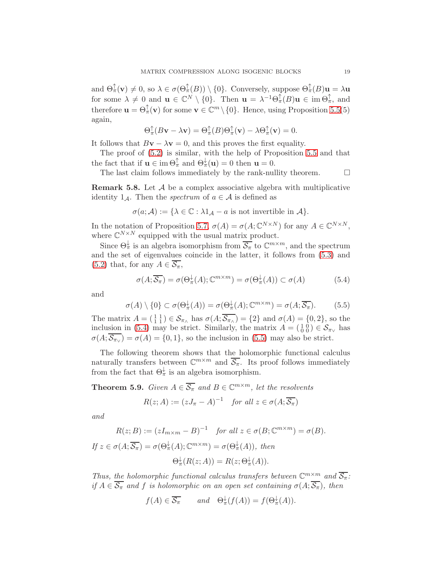and  $\Theta_{\pi}^{\uparrow}(\mathbf{v}) \neq 0$ , so  $\lambda \in \sigma(\Theta_{\pi}^{\uparrow}(B)) \setminus \{0\}$ . Conversely, suppose  $\Theta_{\pi}^{\uparrow}(B)\mathbf{u} = \lambda \mathbf{u}$ for some  $\lambda \neq 0$  and  $\mathbf{u} \in \mathbb{C}^N \setminus \{0\}$ . Then  $\mathbf{u} = \lambda^{-1} \Theta_{\pi}^{\uparrow}(B) \mathbf{u} \in \text{im } \Theta_{\pi}^{\uparrow}$ , and therefore  $\mathbf{u} = \Theta_{\pi}^{\uparrow}(\mathbf{v})$  for some  $\mathbf{v} \in \mathbb{C}^m \setminus \{0\}$ . Hence, using Proposition [5.5\(](#page-17-1)5) again,

$$
\Theta_{\pi}^{\uparrow}(B\mathbf{v}-\lambda\mathbf{v})=\Theta_{\pi}^{\uparrow}(B)\Theta_{\pi}^{\uparrow}(\mathbf{v})-\lambda\Theta_{\pi}^{\uparrow}(\mathbf{v})=0.
$$

It follows that  $B\mathbf{v} - \lambda \mathbf{v} = 0$ , and this proves the first equality.

The proof of [\(5.2\)](#page-17-2) is similar, with the help of Proposition [5.5](#page-17-1) and that the fact that if  $\mathbf{u} \in \text{im } \Theta_{\pi}^{\uparrow}$  and  $\Theta_{\pi}^{\downarrow}(\mathbf{u}) = 0$  then  $\mathbf{u} = 0$ .

The last claim follows immediately by the rank-nullity theorem.  $\Box$ 

**Remark 5.8.** Let  $\mathcal A$  be a complex associative algebra with multiplicative identity 1<sub>A</sub>. Then the *spectrum* of  $a \in A$  is defined as

$$
\sigma(a; \mathcal{A}) := \{ \lambda \in \mathbb{C} : \lambda 1_{\mathcal{A}} - a \text{ is not invertible in } \mathcal{A} \}.
$$

In the notation of Proposition [5.7,](#page-17-3)  $\sigma(A) = \sigma(A; \mathbb{C}^{N \times N})$  for any  $A \in \mathbb{C}^{N \times N}$ , where  $\mathbb{C}^{N\times N}$  equipped with the usual matrix product.

Since  $\Theta_{\pi}^{\downarrow}$  is an algebra isomorphism from  $\overline{\mathcal{S}_{\pi}}$  to  $\mathbb{C}^{m \times m}$ , and the spectrum and the set of eigenvalues coincide in the latter, it follows from [\(5.3\)](#page-17-0) and [\(5.2\)](#page-17-2) that, for any  $A \in \overline{\mathcal{S}_{\pi}}$ ,

<span id="page-18-0"></span>
$$
\sigma(A; \overline{S_{\pi}}) = \sigma(\Theta_{\pi}^{\downarrow}(A); \mathbb{C}^{m \times m}) = \sigma(\Theta_{\pi}^{\downarrow}(A)) \subset \sigma(A)
$$
 (5.4)

and

<span id="page-18-1"></span>
$$
\sigma(A) \setminus \{0\} \subset \sigma(\Theta_{\pi}^{\downarrow}(A)) = \sigma(\Theta_{\pi}^{\downarrow}(A); \mathbb{C}^{m \times m}) = \sigma(A; \overline{\mathcal{S}_{\pi}}). \tag{5.5}
$$

The matrix  $A = \begin{pmatrix} 1 & 1 \\ 1 & 1 \end{pmatrix} \in \mathcal{S}_{\pi_{\wedge}}$  has  $\sigma(A; \overline{\mathcal{S}_{\pi_{\wedge}}} ) = \{2\}$  and  $\sigma(A) = \{0, 2\}$ , so the inclusion in [\(5.4\)](#page-18-0) may be strict. Similarly, the matrix  $A = \begin{pmatrix} 1 & 0 \\ 0 & 0 \end{pmatrix} \in \mathcal{S}_{\pi_{\vee}}$  has  $\sigma(A; S_{\pi_V}) = \sigma(A) = \{0, 1\}$ , so the inclusion in [\(5.5\)](#page-18-1) may also be strict.

The following theorem shows that the holomorphic functional calculus naturally transfers between  $\mathbb{C}^{m \times m}$  and  $\overline{\mathcal{S}_{\pi}}$ . Its proof follows immediately from the fact that  $\Theta_{\pi}^{\downarrow}$  is an algebra isomorphism.

**Theorem 5.9.** Given  $A \in \overline{\mathcal{S}_{\pi}}$  and  $B \in \mathbb{C}^{m \times m}$ , let the resolvents

$$
R(z;A) := (zJ_{\pi} - A)^{-1} \quad \text{for all } z \in \sigma(A; \overline{S_{\pi}})
$$

and

$$
R(z;B) := (zI_{m \times m} - B)^{-1} \quad \text{for all } z \in \sigma(B; \mathbb{C}^{m \times m}) = \sigma(B).
$$
\n
$$
If \ z \in \sigma(A; \overline{S_{\pi}}) = \sigma(\Theta_{\pi}^{\downarrow}(A); \mathbb{C}^{m \times m}) = \sigma(\Theta_{\pi}^{\downarrow}(A)), \text{ then}
$$
\n
$$
\Theta_{\pi}^{\downarrow}(R(z;A)) = R(z; \Theta_{\pi}^{\downarrow}(A)).
$$

Thus, the holomorphic functional calculus transfers between  $\mathbb{C}^{m \times m}$  and  $\overline{\mathcal{S}_{\pi}}$ . if  $A \in \overline{\mathcal{S}_{\pi}}$  and f is holomorphic on an open set containing  $\sigma(A; \overline{\mathcal{S}_{\pi}})$ , then

$$
f(A) \in \overline{\mathcal{S}_{\pi}}
$$
 and  $\Theta_{\pi}^{\downarrow}(f(A)) = f(\Theta_{\pi}^{\downarrow}(A)).$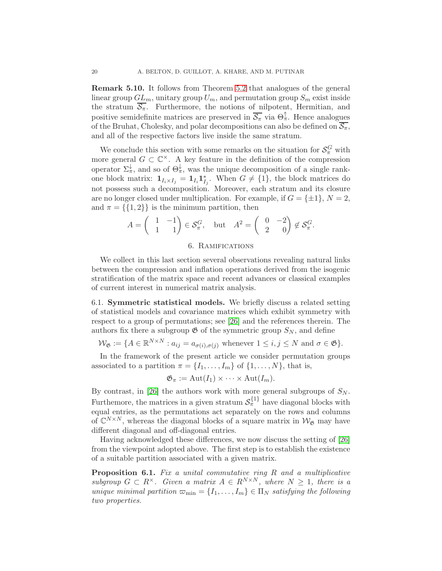Remark 5.10. It follows from Theorem [5.2](#page-16-0) that analogues of the general linear group  $GL_m$ , unitary group  $U_m$ , and permutation group  $S_m$  exist inside the stratum  $\overline{S_{\pi}}$ . Furthermore, the notions of nilpotent, Hermitian, and positive semidefinite matrices are preserved in  $\overline{S_{\pi}}$  via  $\Theta_{\pi}^{\uparrow}$ . Hence analogues of the Bruhat, Cholesky, and polar decompositions can also be defined on  $\overline{\mathcal{S}_{\pi}}$ , and all of the respective factors live inside the same stratum.

We conclude this section with some remarks on the situation for  $S_{\pi}^G$  with more general  $G \subset \mathbb{C}^{\times}$ . A key feature in the definition of the compression operator  $\Sigma_{\pi}^{\downarrow}$ , and so of  $\Theta_{\pi}^{\downarrow}$ , was the unique decomposition of a single rankone block matrix:  $\mathbf{1}_{I_i \times I_j} = \mathbf{1}_{I_i} \mathbf{1}_{I_j}^*$ . When  $G \neq \{1\}$ , the block matrices do not possess such a decomposition. Moreover, each stratum and its closure are no longer closed under multiplication. For example, if  $G = \{\pm 1\}, N = 2$ , and  $\pi = \{\{1,2\}\}\$ is the minimum partition, then

$$
A = \begin{pmatrix} 1 & -1 \\ 1 & 1 \end{pmatrix} \in \mathcal{S}_{\pi}^G, \quad \text{but} \quad A^2 = \begin{pmatrix} 0 & -2 \\ 2 & 0 \end{pmatrix} \notin \mathcal{S}_{\pi}^G.
$$

### 6. Ramifications

<span id="page-19-0"></span>We collect in this last section several observations revealing natural links between the compression and inflation operations derived from the isogenic stratification of the matrix space and recent advances or classical examples of current interest in numerical matrix analysis.

<span id="page-19-1"></span>6.1. Symmetric statistical models. We briefly discuss a related setting of statistical models and covariance matrices which exhibit symmetry with respect to a group of permutations; see [\[26\]](#page-28-13) and the references therein. The authors fix there a subgroup  $\mathfrak{G}$  of the symmetric group  $S_N$ , and define

$$
\mathcal{W}_{\mathfrak{G}} := \{ A \in \mathbb{R}^{N \times N} : a_{ij} = a_{\sigma(i), \sigma(j)} \text{ whenever } 1 \le i, j \le N \text{ and } \sigma \in \mathfrak{G} \}.
$$

In the framework of the present article we consider permutation groups associated to a partition  $\pi = \{I_1, \ldots, I_m\}$  of  $\{1, \ldots, N\}$ , that is,

$$
\mathfrak{G}_{\pi} := \mathrm{Aut}(I_1) \times \cdots \times \mathrm{Aut}(I_m).
$$

By contrast, in [\[26\]](#page-28-13) the authors work with more general subgroups of  $S_N$ . Furthemore, the matrices in a given stratum  $S_{\pi}^{\{1\}}$  have diagonal blocks with equal entries, as the permutations act separately on the rows and columns of  $\mathbb{C}^{N\times N}$ , whereas the diagonal blocks of a square matrix in  $\mathcal{W}_{\mathfrak{G}}$  may have different diagonal and off-diagonal entries.

Having acknowledged these differences, we now discuss the setting of [\[26\]](#page-28-13) from the viewpoint adopted above. The first step is to establish the existence of a suitable partition associated with a given matrix.

<span id="page-19-2"></span>**Proposition 6.1.** Fix a unital commutative ring  $R$  and a multiplicative subgroup  $G \subset R^{\times}$ . Given a matrix  $A \in R^{N \times N}$ , where  $N \geq 1$ , there is a unique minimal partition  $\varpi_{\min} = \{I_1, \ldots, I_m\} \in \Pi_N$  satisfying the following two properties.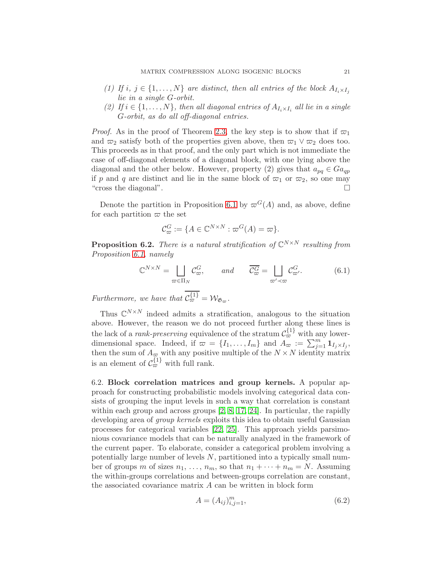- (1) If i,  $j \in \{1, ..., N\}$  are distinct, then all entries of the block  $A_{I_i \times I_j}$ lie in a single G-orbit.
- (2) If  $i \in \{1, ..., N\}$ , then all diagonal entries of  $A_{I_i \times I_i}$  all lie in a single G-orbit, as do all off-diagonal entries.

*Proof.* As in the proof of Theorem [2.3,](#page-6-0) the key step is to show that if  $\varpi_1$ and  $\overline{\omega}_2$  satisfy both of the properties given above, then  $\overline{\omega}_1 \vee \overline{\omega}_2$  does too. This proceeds as in that proof, and the only part which is not immediate the case of off-diagonal elements of a diagonal block, with one lying above the diagonal and the other below. However, property (2) gives that  $a_{pq} \in Ga_{qp}$ if p and q are distinct and lie in the same block of  $\varpi_1$  or  $\varpi_2$ , so one may "cross the diagonal".

Denote the partition in Proposition [6.1](#page-19-2) by  $\varpi^{G}(A)$  and, as above, define for each partition  $\varpi$  the set

$$
\mathcal{C}_{\varpi}^G := \{ A \in \mathbb{C}^{N \times N} : \varpi^G(A) = \varpi \}.
$$

**Proposition 6.2.** There is a natural stratification of  $\mathbb{C}^{N\times N}$  resulting from Proposition [6.1,](#page-19-2) namely

$$
\mathbb{C}^{N \times N} = \bigsqcup_{\varpi \in \Pi_N} \mathcal{C}_{\varpi}^G, \quad \text{and} \quad \overline{\mathcal{C}_{\varpi}^G} = \bigsqcup_{\varpi' \prec \varpi} \mathcal{C}_{\varpi'}^G. \tag{6.1}
$$

Furthermore, we have that  $\mathcal{C}_{\varpi}^{\{1\}} = \mathcal{W}_{\mathfrak{G}_{\varpi}}$ .

Thus  $\mathbb{C}^{N\times N}$  indeed admits a stratification, analogous to the situation above. However, the reason we do not proceed further along these lines is the lack of a *rank-preserving* equivalence of the stratum  $\mathcal{C}_{\varpi}^{\{1\}}$  with any lowerdimensional space. Indeed, if  $\varpi = \{I_1, \ldots, I_m\}$  and  $A_{\varpi} := \sum_{j=1}^m \mathbf{1}_{I_j \times I_j}$ , then the sum of  $A_{\infty}$  with any positive multiple of the  $N \times N$  identity matrix is an element of  $\mathcal{C}_{\varpi}^{\{1\}}$  with full rank.

<span id="page-20-0"></span>6.2. Block correlation matrices and group kernels. A popular approach for constructing probabilistic models involving categorical data consists of grouping the input levels in such a way that correlation is constant within each group and across groups [\[2,](#page-27-4) [8,](#page-28-14) [17,](#page-28-15) [24\]](#page-28-16). In particular, the rapidly developing area of group kernels exploits this idea to obtain useful Gaussian processes for categorical variables [\[22,](#page-28-17) [25\]](#page-28-18). This approach yields parsimonious covariance models that can be naturally analyzed in the framework of the current paper. To elaborate, consider a categorical problem involving a potentially large number of levels N, partitioned into a typically small number of groups m of sizes  $n_1, \ldots, n_m$ , so that  $n_1 + \cdots + n_m = N$ . Assuming the within-groups correlations and between-groups correlation are constant, the associated covariance matrix A can be written in block form

$$
A = (A_{ij})_{i,j=1}^m,
$$
\n(6.2)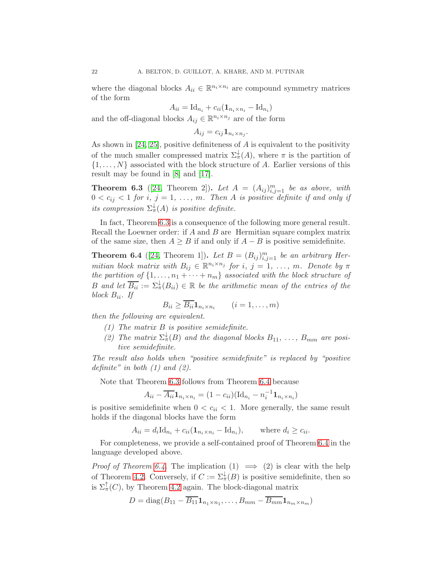where the diagonal blocks  $A_{ii} \in \mathbb{R}^{n_i \times n_i}$  are compound symmetry matrices of the form

$$
A_{ii} = \text{Id}_{n_i} + c_{ii} (\mathbf{1}_{n_i \times n_i} - \text{Id}_{n_i})
$$

and the off-diagonal blocks  $A_{ij} \in \mathbb{R}^{n_i \times n_j}$  are of the form

 $A_{ij} = c_{ij} \mathbf{1}_{n_i \times n_j}.$ 

As shown in  $[24, 25]$  $[24, 25]$ , positive definiteness of  $A$  is equivalent to the positivity of the much smaller compressed matrix  $\Sigma_{\pi}^{\downarrow}(A)$ , where  $\pi$  is the partition of  $\{1, \ldots, N\}$  associated with the block structure of A. Earlier versions of this result may be found in [\[8\]](#page-28-14) and [\[17\]](#page-28-15).

<span id="page-21-0"></span>**Theorem 6.3** ([\[24,](#page-28-16) Theorem 2]). Let  $A = (A_{ij})_{i,j=1}^m$  be as above, with  $0 < c_{ij} < 1$  for i,  $j = 1, \ldots, m$ . Then A is positive definite if and only if its compression  $\Sigma_{\pi}^{\downarrow}(A)$  is positive definite.

In fact, Theorem [6.3](#page-21-0) is a consequence of the following more general result. Recall the Loewner order: if A and B are Hermitian square complex matrix of the same size, then  $A \geq B$  if and only if  $A - B$  is positive semidefinite.

<span id="page-21-1"></span>**Theorem 6.4** ([\[24,](#page-28-16) Theorem 1]). Let  $B = (B_{ij})_{i,j=1}^m$  be an arbitrary Hermitian block matrix with  $B_{ij} \in \mathbb{R}^{n_i \times n_j}$  for i,  $j = 1, \ldots, m$ . Denote by  $\pi$ the partition of  $\{1, \ldots, n_1 + \cdots + n_m\}$  associated with the block structure of B and let  $\overline{B_{ii}} := \Sigma_{\pi}^{\downarrow}(B_{ii}) \in \mathbb{R}$  be the arithmetic mean of the entries of the block  $B_{ii}$ . If

$$
B_{ii} \ge \overline{B_{ii}} \mathbf{1}_{n_i \times n_i} \qquad (i = 1, \dots, m)
$$

then the following are equivalent.

- (1) The matrix  $B$  is positive semidefinite.
- (2) The matrix  $\Sigma_{\pi}^{\downarrow}(B)$  and the diagonal blocks  $B_{11}, \ldots, B_{mm}$  are positive semidefinite.

The result also holds when "positive semidefinite" is replaced by "positive definite" in both  $(1)$  and  $(2)$ .

Note that Theorem [6.3](#page-21-0) follows from Theorem [6.4](#page-21-1) because

$$
A_{ii} - \overline{A_{ii}} \mathbf{1}_{n_i \times n_i} = (1 - c_{ii})(\mathrm{Id}_{n_i} - n_i^{-1} \mathbf{1}_{n_i \times n_i})
$$

is positive semidefinite when  $0 < c_{ii} < 1$ . More generally, the same result holds if the diagonal blocks have the form

$$
A_{ii} = d_i \text{Id}_{n_i} + c_{ii} (\mathbf{1}_{n_i \times n_i} - \text{Id}_{n_i}), \quad \text{where } d_i \ge c_{ii}.
$$

For completeness, we provide a self-contained proof of Theorem [6.4](#page-21-1) in the language developed above.

*Proof of Theorem [6.4.](#page-21-1)* The implication  $(1) \implies (2)$  is clear with the help of Theorem [4.2.](#page-13-0) Conversely, if  $C := \Sigma_{\pi}^{\downarrow}(B)$  is positive semidefinite, then so is  $\Sigma_{\pi}^{\uparrow}(C)$ , by Theorem [4.2](#page-13-0) again. The block-diagonal matrix

$$
D = diag(B_{11} - \overline{B_{11}}\mathbf{1}_{n_1 \times n_1}, \dots, B_{mm} - \overline{B_{mm}}\mathbf{1}_{n_m \times n_m})
$$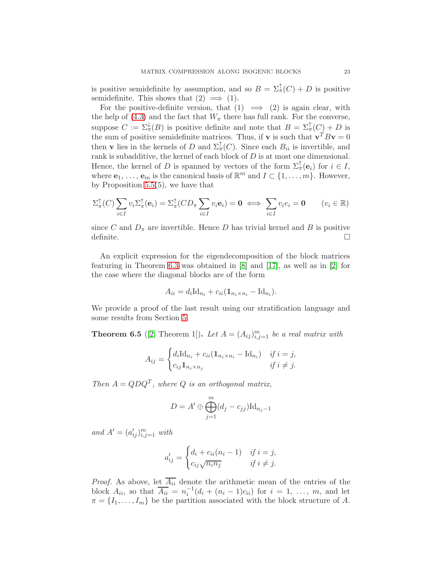is positive semidefinite by assumption, and so  $B = \sum_{\pi}^{\uparrow} (C) + D$  is positive semidefinite. This shows that  $(2) \implies (1)$ .

For the positive-definite version, that  $(1) \implies (2)$  is again clear, with the help of [\(4.3\)](#page-14-2) and the fact that  $W_{\pi}$  there has full rank. For the converse, suppose  $C := \sum_{\pi}^{\downarrow}(B)$  is positive definite and note that  $B = \sum_{\pi}^{\uparrow}(C) + D$  is the sum of positive semidefinite matrices. Thus, if **v** is such that  $\mathbf{v}^T B \mathbf{v} = 0$ then **v** lies in the kernels of D and  $\Sigma_{\pi}^{\uparrow}(C)$ . Since each  $B_{ii}$  is invertible, and rank is subadditive, the kernel of each block of D is at most one dimensional. Hence, the kernel of D is spanned by vectors of the form  $\Sigma^{\uparrow}_{\pi}(\mathbf{e}_i)$  for  $i \in I$ , where  $\mathbf{e}_1, \ldots, \mathbf{e}_m$  is the canonical basis of  $\mathbb{R}^m$  and  $I \subset \{1, \ldots, m\}$ . However, by Proposition  $5.5(5)$ , we have that

$$
\Sigma_{\pi}^{\uparrow}(C) \sum_{i \in I} v_i \Sigma_{\pi}^{\uparrow}(\mathbf{e}_i) = \Sigma_{\pi}^{\uparrow}(CD_{\pi} \sum_{i \in I} v_i \mathbf{e}_i) = \mathbf{0} \iff \sum_{i \in I} v_i e_i = \mathbf{0} \qquad (v_i \in \mathbb{R})
$$

since C and  $D_{\pi}$  are invertible. Hence D has trivial kernel and B is positive definite.  $\Box$ 

An explicit expression for the eigendecomposition of the block matrices featuring in Theorem [6.3](#page-21-0) was obtained in [\[8\]](#page-28-14) and [\[17\]](#page-28-15), as well as in [\[2\]](#page-27-4) for the case where the diagonal blocks are of the form

$$
A_{ii} = d_i \mathrm{Id}_{n_i} + c_{ii} (\mathbf{1}_{n_i \times n_i} - \mathrm{Id}_{n_i}).
$$

We provide a proof of the last result using our stratification language and some results from Section [5.](#page-15-0)

**Theorem 6.5** ([\[2,](#page-27-4) Theorem 1]). Let  $A = (A_{ij})_{i,j=1}^m$  be a real matrix with

$$
A_{ij} = \begin{cases} d_i \text{Id}_{n_i} + c_{ii} (\mathbf{1}_{n_i \times n_i} - \text{Id}_{n_i}) & \text{if } i = j, \\ c_{ij} \mathbf{1}_{n_i \times n_j} & \text{if } i \neq j. \end{cases}
$$

Then  $A = QDQ<sup>T</sup>$ , where Q is an orthogonal matrix,

$$
D = A' \oplus \bigoplus_{j=1}^{m} (d_j - c_{jj}) \mathrm{Id}_{n_j - 1}
$$

and  $A' = (a'_{ij})_{i,j=1}^m$  with

$$
a'_{ij} = \begin{cases} d_i + c_{ii}(n_i - 1) & \text{if } i = j, \\ c_{ij}\sqrt{n_i n_j} & \text{if } i \neq j. \end{cases}
$$

*Proof.* As above, let  $A_{ii}$  denote the arithmetic mean of the entries of the block  $A_{ii}$ , so that  $\overline{A_{ii}} = n_i^{-1}(d_i + (n_i - 1)c_{ii})$  for  $i = 1, \ldots, m$ , and let  $\pi = \{I_1, \ldots, I_m\}$  be the partition associated with the block structure of A.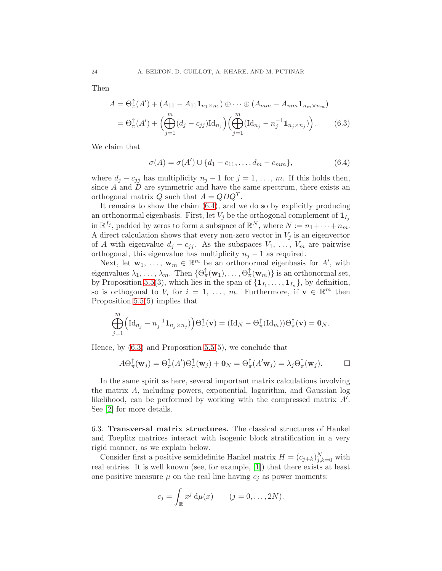Then

$$
A = \Theta_{\pi}^{\uparrow}(A') + (A_{11} - \overline{A_{11}} \mathbf{1}_{n_1 \times n_1}) \oplus \cdots \oplus (A_{mm} - \overline{A_{mm}} \mathbf{1}_{n_m \times n_m})
$$
  
= 
$$
\Theta_{\pi}^{\uparrow}(A') + \Big(\bigoplus_{j=1}^{m} (d_j - c_{jj}) \mathrm{Id}_{n_j}\Big) \Big(\bigoplus_{j=1}^{m} (\mathrm{Id}_{n_j} - n_j^{-1} \mathbf{1}_{n_j \times n_j})\Big).
$$
 (6.3)

We claim that

<span id="page-23-2"></span><span id="page-23-1"></span>
$$
\sigma(A) = \sigma(A') \cup \{d_1 - c_{11}, \dots, d_m - c_{mm}\},\tag{6.4}
$$

where  $d_j - c_{jj}$  has multiplicity  $n_j - 1$  for  $j = 1, \ldots, m$ . If this holds then, since  $A$  and  $D$  are symmetric and have the same spectrum, there exists an orthogonal matrix  $Q$  such that  $A = QDQ^T$ .

It remains to show the claim [\(6.4\)](#page-23-1), and we do so by explicitly producing an orthonormal eigenbasis. First, let  $V_j$  be the orthogonal complement of  $\mathbf{1}_{I_j}$ in  $\mathbb{R}^{I_j}$ , padded by zeros to form a subspace of  $\mathbb{R}^N$ , where  $N := n_1 + \cdots + n_m$ . A direct calculation shows that every non-zero vector in  $V_j$  is an eigenvector of A with eigenvalue  $d_j - c_{jj}$ . As the subspaces  $V_1, \ldots, V_m$  are pairwise orthogonal, this eigenvalue has multiplicity  $n_j - 1$  as required.

Next, let  $\mathbf{w}_1, \ldots, \mathbf{w}_m \in \mathbb{R}^m$  be an orthonormal eigenbasis for  $A'$ , with eigenvalues  $\lambda_1, \ldots, \lambda_m$ . Then  $\{\Theta_\pi^\uparrow(\mathbf{w}_1), \ldots, \Theta_\pi^\uparrow(\mathbf{w}_m)\}$  is an orthonormal set, by Proposition [5.5\(](#page-17-1)3), which lies in the span of  $\{1_{I_1}, \ldots, 1_{I_n}\}$ , by definition, so is orthogonal to  $V_i$  for  $i = 1, \ldots, m$ . Furthermore, if  $\mathbf{v} \in \mathbb{R}^m$  then Proposition [5.5\(](#page-17-1)5) implies that

$$
\bigoplus_{j=1}^m \Bigl(\mathrm{Id}_{n_j}-n_j^{-1}\mathbf{1}_{n_j\times n_j})\Bigr)\Theta_{\pi}^{\uparrow}(\mathbf{v})=(\mathrm{Id}_N-\Theta_{\pi}^{\uparrow}(\mathrm{Id}_m))\Theta_{\pi}^{\uparrow}(\mathbf{v})=\mathbf{0}_N.
$$

Hence, by  $(6.3)$  and Proposition 5.5 $(5)$ , we conclude that

$$
A\Theta_{\pi}^{\uparrow}(\mathbf{w}_j) = \Theta_{\pi}^{\uparrow}(A')\Theta_{\pi}^{\uparrow}(\mathbf{w}_j) + \mathbf{0}_N = \Theta_{\pi}^{\uparrow}(A'\mathbf{w}_j) = \lambda_j\Theta_{\pi}^{\uparrow}(\mathbf{w}_j).
$$

In the same spirit as here, several important matrix calculations involving the matrix A, including powers, exponential, logarithm, and Gaussian log likelihood, can be performed by working with the compressed matrix  $A'$ . See [\[2\]](#page-27-4) for more details.

<span id="page-23-0"></span>6.3. Transversal matrix structures. The classical structures of Hankel and Toeplitz matrices interact with isogenic block stratification in a very rigid manner, as we explain below.

Consider first a positive semidefinite Hankel matrix  $H = (c_{j+k})_{j,k=0}^N$  with real entries. It is well known (see, for example, [\[1\]](#page-27-5)) that there exists at least one positive measure  $\mu$  on the real line having  $c_i$  as power moments:

$$
c_j = \int_{\mathbb{R}} x^j \, \mathrm{d}\mu(x) \qquad (j = 0, \dots, 2N).
$$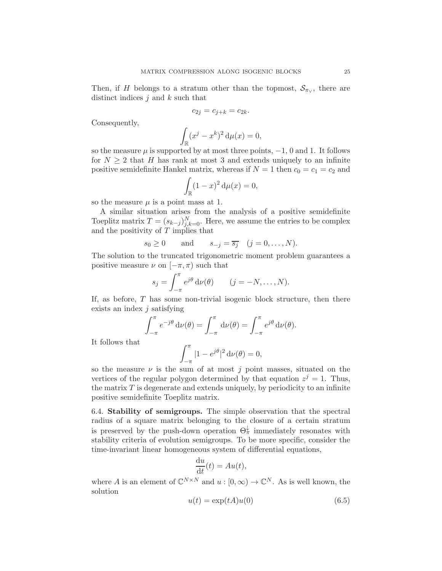Then, if H belongs to a stratum other than the topmost,  $S_{\pi_{\vee}}$ , there are distinct indices  $j$  and  $k$  such that

$$
c_{2j} = c_{j+k} = c_{2k}.
$$

Consequently,

$$
\int_{\mathbb{R}} (x^j - x^k)^2 d\mu(x) = 0,
$$

so the measure  $\mu$  is supported by at most three points,  $-1$ , 0 and 1. It follows for  $N \geq 2$  that H has rank at most 3 and extends uniquely to an infinite positive semidefinite Hankel matrix, whereas if  $N = 1$  then  $c_0 = c_1 = c_2$  and

$$
\int_{\mathbb{R}} (1-x)^2 \, \mathrm{d}\mu(x) = 0,
$$

so the measure  $\mu$  is a point mass at 1.

A similar situation arises from the analysis of a positive semidefinite Toeplitz matrix  $T = (s_{k-j})_{j,k=0}^N$ . Here, we assume the entries to be complex and the positivity of  $T$  implies that

$$
s_0 \ge 0
$$
 and  $s_{-j} = \overline{s_j}$   $(j = 0, ..., N)$ .

The solution to the truncated trigonometric moment problem guarantees a positive measure  $\nu$  on  $[-\pi, \pi)$  such that

$$
s_j = \int_{-\pi}^{\pi} e^{j\theta} d\nu(\theta) \qquad (j = -N, \dots, N).
$$

If, as before,  $T$  has some non-trivial isogenic block structure, then there exists an index  $j$  satisfying

$$
\int_{-\pi}^{\pi} e^{-j\theta} d\nu(\theta) = \int_{-\pi}^{\pi} d\nu(\theta) = \int_{-\pi}^{\pi} e^{j\theta} d\nu(\theta).
$$

It follows that

$$
\int_{-\pi}^{\pi} |1 - e^{j\theta}|^2 \, \mathrm{d}\nu(\theta) = 0,
$$

so the measure  $\nu$  is the sum of at most j point masses, situated on the vertices of the regular polygon determined by that equation  $z^{j} = 1$ . Thus, the matrix  $T$  is degenerate and extends uniquely, by periodicity to an infinite positive semidefinite Toeplitz matrix.

<span id="page-24-0"></span>6.4. Stability of semigroups. The simple observation that the spectral radius of a square matrix belonging to the closure of a certain stratum is preserved by the push-down operation  $\Theta_{\pi}^{\downarrow}$  immediately resonates with stability criteria of evolution semigroups. To be more specific, consider the time-invariant linear homogeneous system of differential equations,

$$
\frac{\mathrm{d}u}{\mathrm{d}t}(t) = Au(t),
$$

where A is an element of  $\mathbb{C}^{N \times N}$  and  $u : [0, \infty) \to \mathbb{C}^{N}$ . As is well known, the solution

<span id="page-24-1"></span>
$$
u(t) = \exp(tA)u(0)
$$
\n(6.5)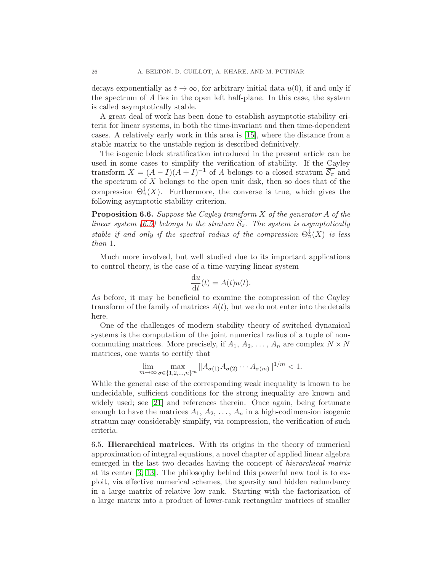decays exponentially as  $t \to \infty$ , for arbitrary initial data  $u(0)$ , if and only if the spectrum of A lies in the open left half-plane. In this case, the system is called asymptotically stable.

A great deal of work has been done to establish asymptotic-stability criteria for linear systems, in both the time-invariant and then time-dependent cases. A relatively early work in this area is [\[15\]](#page-28-19), where the distance from a stable matrix to the unstable region is described definitively.

The isogenic block stratification introduced in the present article can be used in some cases to simplify the verification of stability. If the Cayley transform  $X = (A - I)(A + I)^{-1}$  of A belongs to a closed stratum  $\overline{S_{\pi}}$  and the spectrum of  $X$  belongs to the open unit disk, then so does that of the compression  $\Theta_{\pi}^{\downarrow}(X)$ . Furthermore, the converse is true, which gives the following asymptotic-stability criterion.

**Proposition 6.6.** Suppose the Cayley transform  $X$  of the generator  $A$  of the linear system [\(6.5\)](#page-24-1) belongs to the stratum  $\overline{S_{\pi}}$ . The system is asymptotically stable if and only if the spectral radius of the compression  $\Theta_{\pi}^{\downarrow}(X)$  is less than 1.

Much more involved, but well studied due to its important applications to control theory, is the case of a time-varying linear system

$$
\frac{\mathrm{d}u}{\mathrm{d}t}(t) = A(t)u(t).
$$

As before, it may be beneficial to examine the compression of the Cayley transform of the family of matrices  $A(t)$ , but we do not enter into the details here.

One of the challenges of modern stability theory of switched dynamical systems is the computation of the joint numerical radius of a tuple of noncommuting matrices. More precisely, if  $A_1, A_2, \ldots, A_n$  are complex  $N \times N$ matrices, one wants to certify that

$$
\lim_{m \to \infty} \max_{\sigma \in \{1, 2, ..., n\}^m} \|A_{\sigma(1)} A_{\sigma(2)} \cdots A_{\sigma(m)} \|^{1/m} < 1.
$$

While the general case of the corresponding weak inequality is known to be undecidable, sufficient conditions for the strong inequality are known and widely used; see [\[21\]](#page-28-20) and references therein. Once again, being fortunate enough to have the matrices  $A_1, A_2, \ldots, A_n$  in a high-codimension isogenic stratum may considerably simplify, via compression, the verification of such criteria.

<span id="page-25-0"></span>6.5. Hierarchical matrices. With its origins in the theory of numerical approximation of integral equations, a novel chapter of applied linear algebra emerged in the last two decades having the concept of hierarchical matrix at its center [\[3,](#page-27-6) [13\]](#page-28-21). The philosophy behind this powerful new tool is to exploit, via effective numerical schemes, the sparsity and hidden redundancy in a large matrix of relative low rank. Starting with the factorization of a large matrix into a product of lower-rank rectangular matrices of smaller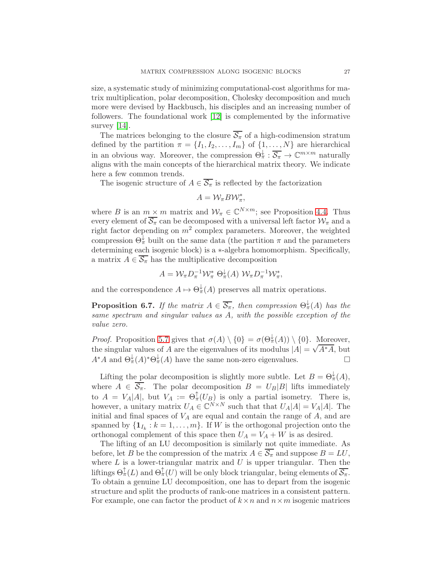size, a systematic study of minimizing computational-cost algorithms for matrix multiplication, polar decomposition, Cholesky decomposition and much more were devised by Hackbusch, his disciples and an increasing number of followers. The foundational work [\[12\]](#page-28-4) is complemented by the informative survey [\[14\]](#page-28-6).

The matrices belonging to the closure  $\overline{S_{\pi}}$  of a high-codimension stratum defined by the partition  $\pi = \{I_1, I_2, \ldots, I_m\}$  of  $\{1, \ldots, N\}$  are hierarchical in an obvious way. Moreover, the compression  $\Theta_{\pi}^{\downarrow} : \overline{\mathcal{S}_{\pi}} \to \mathbb{C}^{m \times m}$  naturally aligns with the main concepts of the hierarchical matrix theory. We indicate here a few common trends.

The isogenic structure of  $A \in \overline{\mathcal{S}_{\pi}}$  is reflected by the factorization

$$
A=\mathcal{W}_{\pi}B\mathcal{W}_{\pi}^*,
$$

where B is an  $m \times m$  matrix and  $W_{\pi} \in \mathbb{C}^{N \times m}$ ; see Proposition [4.4.](#page-14-0) Thus every element of  $\overline{\mathcal{S}_{\pi}}$  can be decomposed with a universal left factor  $\mathcal{W}_{\pi}$  and a right factor depending on  $m^2$  complex parameters. Moreover, the weighted compression  $\Theta_{\pi}^{\downarrow}$  built on the same data (the partition  $\pi$  and the parameters determining each isogenic block) is a ∗-algebra homomorphism. Specifically, a matrix  $A \in \overline{\mathcal{S}_{\pi}}$  has the multiplicative decomposition

$$
A = \mathcal{W}_{\pi} D_{\pi}^{-1} \mathcal{W}_{\pi}^* \Theta_{\pi}^{\downarrow}(A) \mathcal{W}_{\pi} D_{\pi}^{-1} \mathcal{W}_{\pi}^*,
$$

and the correspondence  $A \mapsto \Theta_{\pi}^{\downarrow}(A)$  preserves all matrix operations.

**Proposition 6.7.** If the matrix  $A \in \overline{S_{\pi}}$ , then compression  $\Theta_{\pi}^{\downarrow}(A)$  has the same spectrum and singular values as A, with the possible exception of the value zero.

*Proof.* Proposition [5.7](#page-17-3) gives that  $\sigma(A) \setminus \{0\} = \sigma(\Theta_{\pi}^{\downarrow}(A)) \setminus \{0\}$ . Moreover, the singular values of A are the eigenvalues of its modulus  $|A| = \sqrt{A^*A}$ , but  $A^*A$  and  $\Theta_{\pi}^{\downarrow}(A)^*\Theta_{\pi}^{\downarrow}(A)$  have the same non-zero eigenvalues.

Lifting the polar decomposition is slightly more subtle. Let  $B = \Theta_{\pi}^{\downarrow}(A)$ , where  $A \in \overline{\mathcal{S}_{\pi}}$ . The polar decomposition  $B = U_B |B|$  lifts immediately to  $A = V_A |A|$ , but  $V_A := \Theta_{\pi}^{\uparrow}(U_B)$  is only a partial isometry. There is, however, a unitary matrix  $U_A \in \mathbb{C}^{N \times N}$  such that that  $U_A|A| = V_A|A|$ . The initial and final spaces of  $V_A$  are equal and contain the range of  $A$ , and are spanned by  $\{1_{I_k}: k = 1, \ldots, m\}$ . If W is the orthogonal projection onto the orthonogal complement of this space then  $U_A = V_A + W$  is as desired.

The lifting of an LU decomposition is similarly not quite immediate. As before, let B be the compression of the matrix  $A \in \overline{\mathcal{S}_{\pi}}$  and suppose  $B = LU$ , where  $L$  is a lower-triangular matrix and  $U$  is upper triangular. Then the liftings  $\Theta_{\pi}^{\uparrow}(L)$  and  $\Theta_{\pi}^{\uparrow}(U)$  will be only block triangular, being elements of  $\overline{\mathcal{S}_{\pi}}$ . To obtain a genuine LU decomposition, one has to depart from the isogenic structure and split the products of rank-one matrices in a consistent pattern. For example, one can factor the product of  $k \times n$  and  $n \times m$  isogenic matrices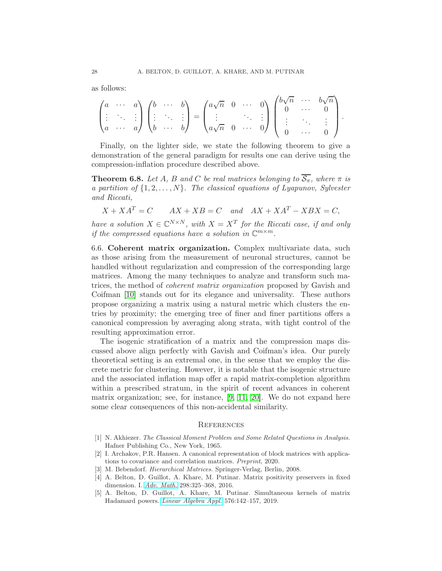as follows:

$$
\begin{pmatrix} a & \cdots & a \\ \vdots & \ddots & \vdots \\ a & \cdots & a \end{pmatrix} \begin{pmatrix} b & \cdots & b \\ \vdots & \ddots & \vdots \\ b & \cdots & b \end{pmatrix} = \begin{pmatrix} a\sqrt{n} & 0 & \cdots & 0 \\ \vdots & & \ddots & \vdots \\ a\sqrt{n} & 0 & \cdots & 0 \end{pmatrix} \begin{pmatrix} b\sqrt{n} & \cdots & b\sqrt{n} \\ 0 & \cdots & 0 \\ \vdots & & \ddots & \vdots \\ 0 & \cdots & 0 \end{pmatrix}.
$$

Finally, on the lighter side, we state the following theorem to give a demonstration of the general paradigm for results one can derive using the compression-inflation procedure described above.

**Theorem 6.8.** Let A, B and C be real matrices belonging to  $\overline{S_{\pi}}$ , where  $\pi$  is a partition of  $\{1, 2, \ldots, N\}$ . The classical equations of Lyapunov, Sylvester and Riccati,

$$
X + XAT = C \tAX + XB = C \tand AX + XAT - XBX = C,
$$

have a solution  $X \in \mathbb{C}^{N \times N}$ , with  $X = X^T$  for the Riccati case, if and only if the compressed equations have a solution in  $\mathbb{C}^{m \times m}$ .

<span id="page-27-0"></span>6.6. Coherent matrix organization. Complex multivariate data, such as those arising from the measurement of neuronal structures, cannot be handled without regularization and compression of the corresponding large matrices. Among the many techniques to analyze and transform such matrices, the method of coherent matrix organization proposed by Gavish and Coifman [\[10\]](#page-28-7) stands out for its elegance and universality. These authors propose organizing a matrix using a natural metric which clusters the entries by proximity; the emerging tree of finer and finer partitions offers a canonical compression by averaging along strata, with tight control of the resulting approximation error.

The isogenic stratification of a matrix and the compression maps discussed above align perfectly with Gavish and Coifman's idea. Our purely theoretical setting is an extremal one, in the sense that we employ the discrete metric for clustering. However, it is notable that the isogenic structure and the associated inflation map offer a rapid matrix-completion algorithm within a prescribed stratum, in the spirit of recent advances in coherent matrix organization; see, for instance,  $[9, 11, 20]$  $[9, 11, 20]$  $[9, 11, 20]$ . We do not expand here some clear consequences of this non-accidental similarity.

#### <span id="page-27-1"></span>**REFERENCES**

- <span id="page-27-5"></span>[1] N. Akhiezer. The Classical Moment Problem and Some Related Questions in Analysis. Hafner Publishing Co., New York, 1965.
- <span id="page-27-4"></span>[2] I. Archakov, P.R. Hansen. A canonical representation of block matrices with applications to covariance and correlation matrices. Preprint, 2020.
- <span id="page-27-6"></span><span id="page-27-2"></span>[3] M. Bebendorf. Hierarchical Matrices. Springer-Verlag, Berlin, 2008.
- [4] A. Belton, D. Guillot, A. Khare, M. Putinar. Matrix positivity preservers in fixed dimension. I. [Adv. Math.](https://dx.doi.org/10.1016/j.aim.2016.04.016) 298:325–368, 2016.
- <span id="page-27-3"></span>[5] A. Belton, D. Guillot, A. Khare, M. Putinar. Simultaneous kernels of matrix Hadamard powers. [Linear Algebra Appl.](https://doi.org/10.1016/j.laa.2018.03.035) 576:142–157, 2019.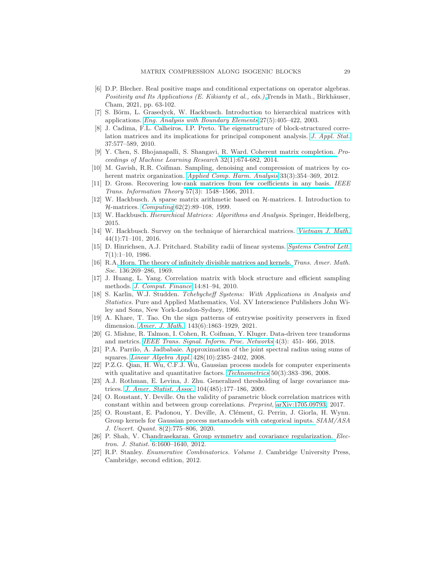- <span id="page-28-3"></span>[6] D.P. Blecher. Real positive maps and conditional expectations on operator algebras. Positivity and Its Applications (E. Kikianty et al., eds.) [T](https://doi.org/10.1007/978-3-030-70974-7_5)rends in Math., Birkhäuser, Cham, 2021, pp. 63-102.
- <span id="page-28-14"></span><span id="page-28-5"></span>[7] S. Börm, L. Grasedyck, W. Hackbusch. Introduction to hierarchical matrices with applications. [Eng. Analysis with Boundary Elements](https://doi.org/10.1016/S0955-7997(02)00152-2) 27(5):405–422, 2003.
- [8] J. Cadima, F.L. Calheiros, I.P. Preto. The eigenstructure of block-structured correlation matrices and its implications for principal component analysis. [J. Appl. Stat.](https://doi.org/10.1080/02664760902803263) 37:577–589, 2010.
- <span id="page-28-9"></span>[9] Y. Chen, S. Bhojanapalli, S. Shangavi, R. Ward. Coherent matrix completion. Proceedings of Machine Learning Research 32(1):674-682, 2014.
- <span id="page-28-7"></span>M. Gavish, R.R. Coifman. Sampling, denoising and compression of matrices by co-herent matrix organization. [Applied Comp. Harm. Analysis](https://doi.org/10.1016/j.acha.2012.02.001) 33(3):354–369, 2012.
- <span id="page-28-8"></span>[11] D. Gross. Recovering low-rank matrices from few coefficients in any basis. IEEE Trans. Information Theory 57(3): 1548–1566, 2011.
- <span id="page-28-4"></span>[12] W. Hackbusch. A sparse matrix arithmetic based on H-matrices. I. Introduction to H-matrices. [Computing](https://doi.org/10.1007/s006070050015) 62(2):89–108, 1999.
- <span id="page-28-21"></span><span id="page-28-6"></span>[13] W. Hackbusch. Hierarchical Matrices: Algorithms and Analysis. Springer, Heidelberg, 2015.
- [14] W. Hackbusch. Survey on the technique of hierarchical matrices. [Vietnam J. Math.](https://doi.org/10.1007/s10013-015-0168-5) 44(1):71–101, 2016.
- <span id="page-28-19"></span>[15] D. Hinrichsen, A.J. Pritchard. Stability radii of linear systems. [Systems Control Lett.](https://doi.org/10.1016/0167-6911(86)90094-0) 7(1):1–10, 1986.
- <span id="page-28-0"></span>[16] R.A[. Horn. The theory of infinitely divisible matrices and kernels.](https://dx.doi.org/10.1090/S0002-9947-1969-0264736-5) Trans. Amer. Math. Soc. 136:269–286, 1969.
- <span id="page-28-15"></span><span id="page-28-12"></span>[17] J. Huang, L. Yang. Correlation matrix with block structure and efficient sampling methods. [J. Comput. Finance](https://doi.org/10.21314/JCF.2010.216) 14:81–94, 2010.
- [18] S. Karlin, W.J. Studden. Tchebycheff Systems: With Applications in Analysis and Statistics. Pure and Applied Mathematics, Vol. XV Interscience Publishers John Wiley and Sons, New York-London-Sydney, 1966.
- <span id="page-28-1"></span>[19] A. Khare, T. Tao. On the sign patterns of entrywise positivity preservers in fixed dimension. [Amer. J. Math.](http://dx.doi.org/10.1353/ajm.2021.0049), 143(6):1863–1929, 2021.
- <span id="page-28-10"></span>[20] G. Mishne, R. Talmon, I. Cohen, R. Coifman, Y. Kluger. Data-driven tree transforms and metrics. [IEEE Trans. Signal. Inform. Proc. Networks](https://doi.org/10.1109/TSIPN.2017.2743561) 4(3): 451- 466, 2018.
- <span id="page-28-20"></span>[21] P.A. Parrilo, A. Jadbabaie. Approximation of the joint spectral radius using sums of squares. [Linear Algebra Appl.](https://doi.org/10.1016/j.laa.2007.12.027) 428(10):2385–2402, 2008.
- <span id="page-28-17"></span>[22] P.Z.G. Qian, H. Wu, C.F.J. Wu, Gaussian process models for computer experiments with qualitative and quantitative factors. [Technometrics](https://doi.org/10.1198/004017008000000262) 50(3):383-396, 2008.
- <span id="page-28-2"></span>[23] A.J. Rothman, E. Levina, J. Zhu. Generalized thresholding of large covariance matrices. [J. Amer. Statist. Assoc.](https://doi.org/10.1198/jasa.2009.0101) 104(485):177–186, 2009.
- <span id="page-28-16"></span>[24] O. Roustant, Y. Deville. On the validity of parametric block correlation matrices with constant within and between group correlations. Preprint, [arXiv:1705.09793,](https://arxiv.org/abs/1705.09793) 2017.
- <span id="page-28-18"></span>[25] O. Roustant, E. Padonou, Y. Deville, A. Clément, G. Perrin, J. Giorla, H. Wynn. Group kernels for Gaussian process metamodels with categorical inputs. SIAM/ASA J. Uncert. Quant. 8(2):775–806, 2020.
- <span id="page-28-13"></span>[26] P. Shah, V. C[handrasekaran. Group symmetry and covariance regularization.](https://dx.doi.org/10.1214/12-EJS723) Electron. J. Statist. 6:1600–1640, 2012.
- <span id="page-28-11"></span>[27] R.P. Stanley. Enumerative Combinatorics. Volume 1. Cambridge University Press, Cambridge, second edition, 2012.